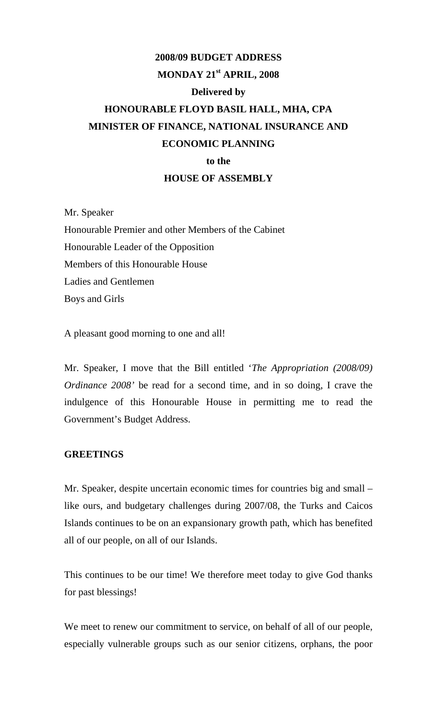# **2008/09 BUDGET ADDRESS MONDAY 21st APRIL, 2008 Delivered by HONOURABLE FLOYD BASIL HALL, MHA, CPA MINISTER OF FINANCE, NATIONAL INSURANCE AND ECONOMIC PLANNING to the HOUSE OF ASSEMBLY**

Mr. Speaker Honourable Premier and other Members of the Cabinet Honourable Leader of the Opposition Members of this Honourable House Ladies and Gentlemen Boys and Girls

A pleasant good morning to one and all!

Mr. Speaker, I move that the Bill entitled '*The Appropriation (2008/09) Ordinance 2008'* be read for a second time, and in so doing, I crave the indulgence of this Honourable House in permitting me to read the Government's Budget Address.

#### **GREETINGS**

Mr. Speaker, despite uncertain economic times for countries big and small – like ours, and budgetary challenges during 2007/08, the Turks and Caicos Islands continues to be on an expansionary growth path, which has benefited all of our people, on all of our Islands.

This continues to be our time! We therefore meet today to give God thanks for past blessings!

We meet to renew our commitment to service, on behalf of all of our people, especially vulnerable groups such as our senior citizens, orphans, the poor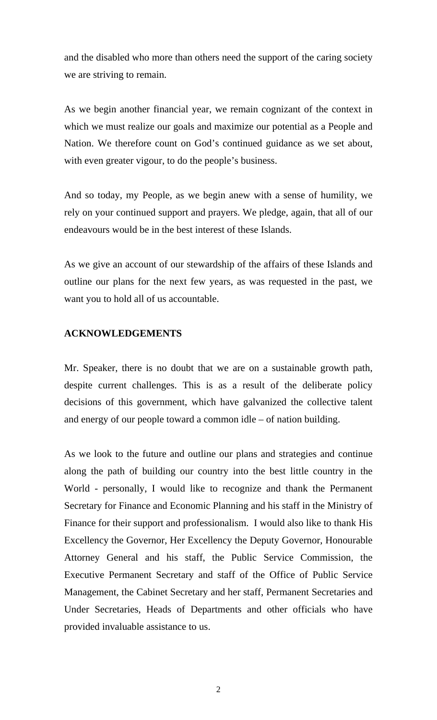and the disabled who more than others need the support of the caring society we are striving to remain.

As we begin another financial year, we remain cognizant of the context in which we must realize our goals and maximize our potential as a People and Nation. We therefore count on God's continued guidance as we set about, with even greater vigour, to do the people's business.

And so today, my People, as we begin anew with a sense of humility, we rely on your continued support and prayers. We pledge, again, that all of our endeavours would be in the best interest of these Islands.

As we give an account of our stewardship of the affairs of these Islands and outline our plans for the next few years, as was requested in the past, we want you to hold all of us accountable.

### **ACKNOWLEDGEMENTS**

Mr. Speaker, there is no doubt that we are on a sustainable growth path, despite current challenges. This is as a result of the deliberate policy decisions of this government, which have galvanized the collective talent and energy of our people toward a common idle – of nation building.

As we look to the future and outline our plans and strategies and continue along the path of building our country into the best little country in the World - personally, I would like to recognize and thank the Permanent Secretary for Finance and Economic Planning and his staff in the Ministry of Finance for their support and professionalism. I would also like to thank His Excellency the Governor, Her Excellency the Deputy Governor, Honourable Attorney General and his staff, the Public Service Commission, the Executive Permanent Secretary and staff of the Office of Public Service Management, the Cabinet Secretary and her staff, Permanent Secretaries and Under Secretaries, Heads of Departments and other officials who have provided invaluable assistance to us.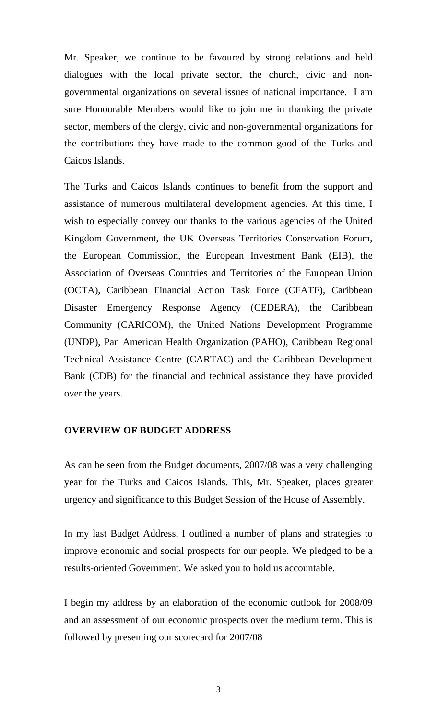Mr. Speaker, we continue to be favoured by strong relations and held dialogues with the local private sector, the church, civic and nongovernmental organizations on several issues of national importance. I am sure Honourable Members would like to join me in thanking the private sector, members of the clergy, civic and non-governmental organizations for the contributions they have made to the common good of the Turks and Caicos Islands.

The Turks and Caicos Islands continues to benefit from the support and assistance of numerous multilateral development agencies. At this time, I wish to especially convey our thanks to the various agencies of the United Kingdom Government, the UK Overseas Territories Conservation Forum, the European Commission, the European Investment Bank (EIB), the Association of Overseas Countries and Territories of the European Union (OCTA), Caribbean Financial Action Task Force (CFATF), Caribbean Disaster Emergency Response Agency (CEDERA), the Caribbean Community (CARICOM), the United Nations Development Programme (UNDP), Pan American Health Organization (PAHO), Caribbean Regional Technical Assistance Centre (CARTAC) and the Caribbean Development Bank (CDB) for the financial and technical assistance they have provided over the years.

#### **OVERVIEW OF BUDGET ADDRESS**

As can be seen from the Budget documents, 2007/08 was a very challenging year for the Turks and Caicos Islands. This, Mr. Speaker, places greater urgency and significance to this Budget Session of the House of Assembly.

In my last Budget Address, I outlined a number of plans and strategies to improve economic and social prospects for our people. We pledged to be a results-oriented Government. We asked you to hold us accountable.

I begin my address by an elaboration of the economic outlook for 2008/09 and an assessment of our economic prospects over the medium term. This is followed by presenting our scorecard for 2007/08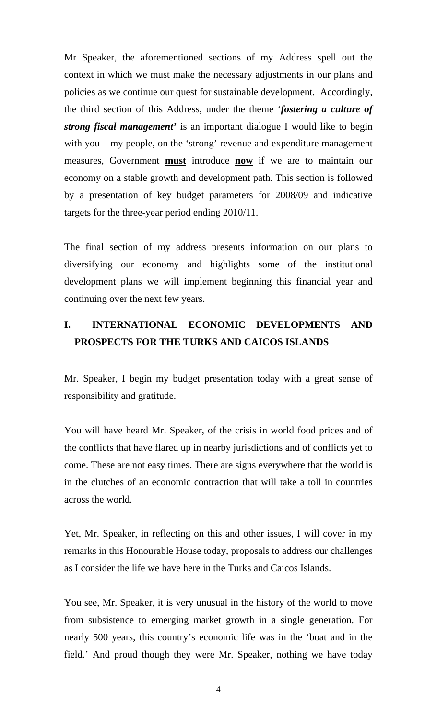Mr Speaker, the aforementioned sections of my Address spell out the context in which we must make the necessary adjustments in our plans and policies as we continue our quest for sustainable development. Accordingly, the third section of this Address, under the theme '*fostering a culture of strong fiscal management'* is an important dialogue I would like to begin with you – my people, on the 'strong' revenue and expenditure management measures, Government **must** introduce **now** if we are to maintain our economy on a stable growth and development path. This section is followed by a presentation of key budget parameters for 2008/09 and indicative targets for the three-year period ending 2010/11.

The final section of my address presents information on our plans to diversifying our economy and highlights some of the institutional development plans we will implement beginning this financial year and continuing over the next few years.

# **I. INTERNATIONAL ECONOMIC DEVELOPMENTS AND PROSPECTS FOR THE TURKS AND CAICOS ISLANDS**

Mr. Speaker, I begin my budget presentation today with a great sense of responsibility and gratitude.

You will have heard Mr. Speaker, of the crisis in world food prices and of the conflicts that have flared up in nearby jurisdictions and of conflicts yet to come. These are not easy times. There are signs everywhere that the world is in the clutches of an economic contraction that will take a toll in countries across the world.

Yet, Mr. Speaker, in reflecting on this and other issues, I will cover in my remarks in this Honourable House today, proposals to address our challenges as I consider the life we have here in the Turks and Caicos Islands.

You see, Mr. Speaker, it is very unusual in the history of the world to move from subsistence to emerging market growth in a single generation. For nearly 500 years, this country's economic life was in the 'boat and in the field.' And proud though they were Mr. Speaker, nothing we have today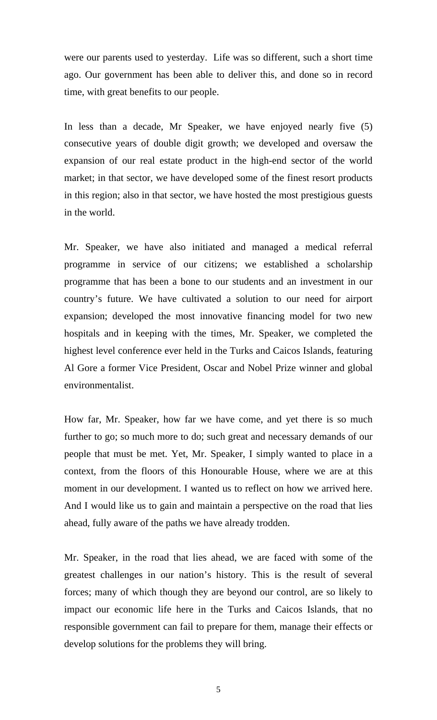were our parents used to yesterday. Life was so different, such a short time ago. Our government has been able to deliver this, and done so in record time, with great benefits to our people.

In less than a decade, Mr Speaker, we have enjoyed nearly five (5) consecutive years of double digit growth; we developed and oversaw the expansion of our real estate product in the high-end sector of the world market; in that sector, we have developed some of the finest resort products in this region; also in that sector, we have hosted the most prestigious guests in the world.

Mr. Speaker, we have also initiated and managed a medical referral programme in service of our citizens; we established a scholarship programme that has been a bone to our students and an investment in our country's future. We have cultivated a solution to our need for airport expansion; developed the most innovative financing model for two new hospitals and in keeping with the times, Mr. Speaker, we completed the highest level conference ever held in the Turks and Caicos Islands, featuring Al Gore a former Vice President, Oscar and Nobel Prize winner and global environmentalist.

How far, Mr. Speaker, how far we have come, and yet there is so much further to go; so much more to do; such great and necessary demands of our people that must be met. Yet, Mr. Speaker, I simply wanted to place in a context, from the floors of this Honourable House, where we are at this moment in our development. I wanted us to reflect on how we arrived here. And I would like us to gain and maintain a perspective on the road that lies ahead, fully aware of the paths we have already trodden.

Mr. Speaker, in the road that lies ahead, we are faced with some of the greatest challenges in our nation's history. This is the result of several forces; many of which though they are beyond our control, are so likely to impact our economic life here in the Turks and Caicos Islands, that no responsible government can fail to prepare for them, manage their effects or develop solutions for the problems they will bring.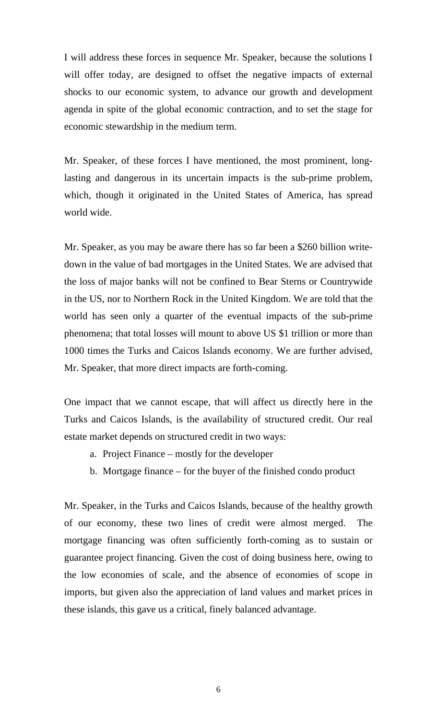I will address these forces in sequence Mr. Speaker, because the solutions I will offer today, are designed to offset the negative impacts of external shocks to our economic system, to advance our growth and development agenda in spite of the global economic contraction, and to set the stage for economic stewardship in the medium term.

Mr. Speaker, of these forces I have mentioned, the most prominent, longlasting and dangerous in its uncertain impacts is the sub-prime problem, which, though it originated in the United States of America, has spread world wide.

Mr. Speaker, as you may be aware there has so far been a \$260 billion writedown in the value of bad mortgages in the United States. We are advised that the loss of major banks will not be confined to Bear Sterns or Countrywide in the US, nor to Northern Rock in the United Kingdom. We are told that the world has seen only a quarter of the eventual impacts of the sub-prime phenomena; that total losses will mount to above US \$1 trillion or more than 1000 times the Turks and Caicos Islands economy. We are further advised, Mr. Speaker, that more direct impacts are forth-coming.

One impact that we cannot escape, that will affect us directly here in the Turks and Caicos Islands, is the availability of structured credit. Our real estate market depends on structured credit in two ways:

- a. Project Finance mostly for the developer
- b. Mortgage finance for the buyer of the finished condo product

Mr. Speaker, in the Turks and Caicos Islands, because of the healthy growth of our economy, these two lines of credit were almost merged. The mortgage financing was often sufficiently forth-coming as to sustain or guarantee project financing. Given the cost of doing business here, owing to the low economies of scale, and the absence of economies of scope in imports, but given also the appreciation of land values and market prices in these islands, this gave us a critical, finely balanced advantage.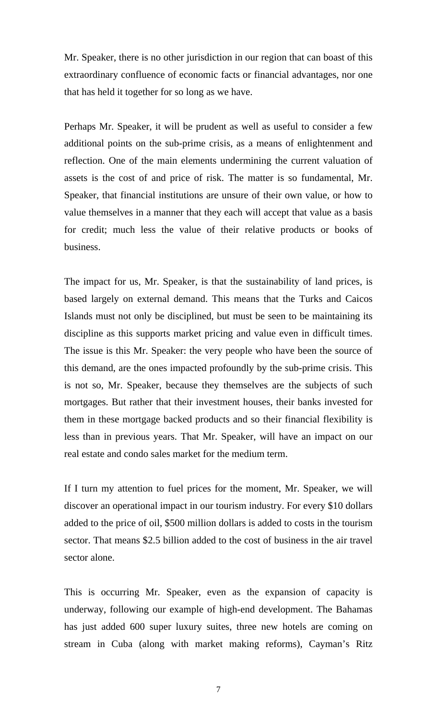Mr. Speaker, there is no other jurisdiction in our region that can boast of this extraordinary confluence of economic facts or financial advantages, nor one that has held it together for so long as we have.

Perhaps Mr. Speaker, it will be prudent as well as useful to consider a few additional points on the sub-prime crisis, as a means of enlightenment and reflection. One of the main elements undermining the current valuation of assets is the cost of and price of risk. The matter is so fundamental, Mr. Speaker, that financial institutions are unsure of their own value, or how to value themselves in a manner that they each will accept that value as a basis for credit; much less the value of their relative products or books of business.

The impact for us, Mr. Speaker, is that the sustainability of land prices, is based largely on external demand. This means that the Turks and Caicos Islands must not only be disciplined, but must be seen to be maintaining its discipline as this supports market pricing and value even in difficult times. The issue is this Mr. Speaker: the very people who have been the source of this demand, are the ones impacted profoundly by the sub-prime crisis. This is not so, Mr. Speaker, because they themselves are the subjects of such mortgages. But rather that their investment houses, their banks invested for them in these mortgage backed products and so their financial flexibility is less than in previous years. That Mr. Speaker, will have an impact on our real estate and condo sales market for the medium term.

If I turn my attention to fuel prices for the moment, Mr. Speaker, we will discover an operational impact in our tourism industry. For every \$10 dollars added to the price of oil, \$500 million dollars is added to costs in the tourism sector. That means \$2.5 billion added to the cost of business in the air travel sector alone.

This is occurring Mr. Speaker, even as the expansion of capacity is underway, following our example of high-end development. The Bahamas has just added 600 super luxury suites, three new hotels are coming on stream in Cuba (along with market making reforms), Cayman's Ritz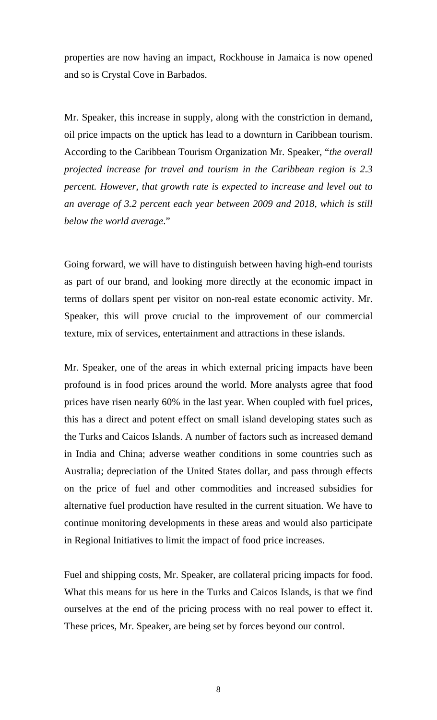properties are now having an impact, Rockhouse in Jamaica is now opened and so is Crystal Cove in Barbados.

Mr. Speaker, this increase in supply, along with the constriction in demand, oil price impacts on the uptick has lead to a downturn in Caribbean tourism. According to the Caribbean Tourism Organization Mr. Speaker, "*the overall projected increase for travel and tourism in the Caribbean region is 2.3 percent. However, that growth rate is expected to increase and level out to an average of 3.2 percent each year between 2009 and 2018, which is still below the world average*."

Going forward, we will have to distinguish between having high-end tourists as part of our brand, and looking more directly at the economic impact in terms of dollars spent per visitor on non-real estate economic activity. Mr. Speaker, this will prove crucial to the improvement of our commercial texture, mix of services, entertainment and attractions in these islands.

Mr. Speaker, one of the areas in which external pricing impacts have been profound is in food prices around the world. More analysts agree that food prices have risen nearly 60% in the last year. When coupled with fuel prices, this has a direct and potent effect on small island developing states such as the Turks and Caicos Islands. A number of factors such as increased demand in India and China; adverse weather conditions in some countries such as Australia; depreciation of the United States dollar, and pass through effects on the price of fuel and other commodities and increased subsidies for alternative fuel production have resulted in the current situation. We have to continue monitoring developments in these areas and would also participate in Regional Initiatives to limit the impact of food price increases.

Fuel and shipping costs, Mr. Speaker, are collateral pricing impacts for food. What this means for us here in the Turks and Caicos Islands, is that we find ourselves at the end of the pricing process with no real power to effect it. These prices, Mr. Speaker, are being set by forces beyond our control.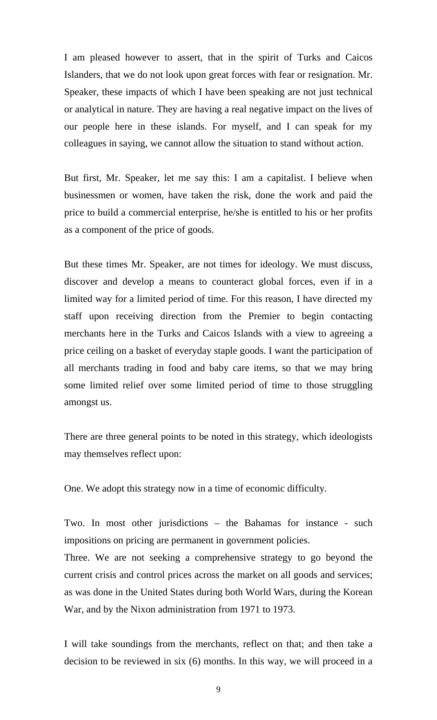I am pleased however to assert, that in the spirit of Turks and Caicos Islanders, that we do not look upon great forces with fear or resignation. Mr. Speaker, these impacts of which I have been speaking are not just technical or analytical in nature. They are having a real negative impact on the lives of our people here in these islands. For myself, and I can speak for my colleagues in saying, we cannot allow the situation to stand without action.

But first, Mr. Speaker, let me say this: I am a capitalist. I believe when businessmen or women, have taken the risk, done the work and paid the price to build a commercial enterprise, he/she is entitled to his or her profits as a component of the price of goods.

But these times Mr. Speaker, are not times for ideology. We must discuss, discover and develop a means to counteract global forces, even if in a limited way for a limited period of time. For this reason, I have directed my staff upon receiving direction from the Premier to begin contacting merchants here in the Turks and Caicos Islands with a view to agreeing a price ceiling on a basket of everyday staple goods. I want the participation of all merchants trading in food and baby care items, so that we may bring some limited relief over some limited period of time to those struggling amongst us.

There are three general points to be noted in this strategy, which ideologists may themselves reflect upon:

One. We adopt this strategy now in a time of economic difficulty.

Two. In most other jurisdictions – the Bahamas for instance - such impositions on pricing are permanent in government policies.

Three. We are not seeking a comprehensive strategy to go beyond the current crisis and control prices across the market on all goods and services; as was done in the United States during both World Wars, during the Korean War, and by the Nixon administration from 1971 to 1973.

I will take soundings from the merchants, reflect on that; and then take a decision to be reviewed in six (6) months. In this way, we will proceed in a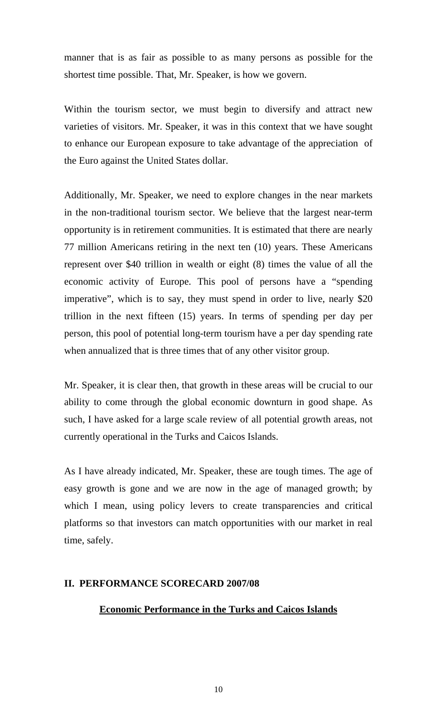manner that is as fair as possible to as many persons as possible for the shortest time possible. That, Mr. Speaker, is how we govern.

Within the tourism sector, we must begin to diversify and attract new varieties of visitors. Mr. Speaker, it was in this context that we have sought to enhance our European exposure to take advantage of the appreciation of the Euro against the United States dollar.

Additionally, Mr. Speaker, we need to explore changes in the near markets in the non-traditional tourism sector. We believe that the largest near-term opportunity is in retirement communities. It is estimated that there are nearly 77 million Americans retiring in the next ten (10) years. These Americans represent over \$40 trillion in wealth or eight (8) times the value of all the economic activity of Europe. This pool of persons have a "spending imperative", which is to say, they must spend in order to live, nearly \$20 trillion in the next fifteen (15) years. In terms of spending per day per person, this pool of potential long-term tourism have a per day spending rate when annualized that is three times that of any other visitor group.

Mr. Speaker, it is clear then, that growth in these areas will be crucial to our ability to come through the global economic downturn in good shape. As such, I have asked for a large scale review of all potential growth areas, not currently operational in the Turks and Caicos Islands.

As I have already indicated, Mr. Speaker, these are tough times. The age of easy growth is gone and we are now in the age of managed growth; by which I mean, using policy levers to create transparencies and critical platforms so that investors can match opportunities with our market in real time, safely.

# **II. PERFORMANCE SCORECARD 2007/08**

# **Economic Performance in the Turks and Caicos Islands**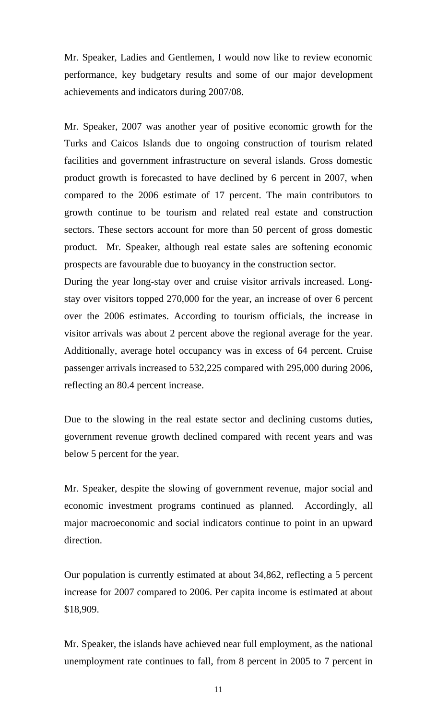Mr. Speaker, Ladies and Gentlemen, I would now like to review economic performance, key budgetary results and some of our major development achievements and indicators during 2007/08.

Mr. Speaker, 2007 was another year of positive economic growth for the Turks and Caicos Islands due to ongoing construction of tourism related facilities and government infrastructure on several islands. Gross domestic product growth is forecasted to have declined by 6 percent in 2007, when compared to the 2006 estimate of 17 percent. The main contributors to growth continue to be tourism and related real estate and construction sectors. These sectors account for more than 50 percent of gross domestic product. Mr. Speaker, although real estate sales are softening economic prospects are favourable due to buoyancy in the construction sector.

During the year long-stay over and cruise visitor arrivals increased. Longstay over visitors topped 270,000 for the year, an increase of over 6 percent over the 2006 estimates. According to tourism officials, the increase in visitor arrivals was about 2 percent above the regional average for the year. Additionally, average hotel occupancy was in excess of 64 percent. Cruise passenger arrivals increased to 532,225 compared with 295,000 during 2006, reflecting an 80.4 percent increase.

Due to the slowing in the real estate sector and declining customs duties, government revenue growth declined compared with recent years and was below 5 percent for the year.

Mr. Speaker, despite the slowing of government revenue, major social and economic investment programs continued as planned. Accordingly, all major macroeconomic and social indicators continue to point in an upward direction.

Our population is currently estimated at about 34,862, reflecting a 5 percent increase for 2007 compared to 2006. Per capita income is estimated at about \$18,909.

Mr. Speaker, the islands have achieved near full employment, as the national unemployment rate continues to fall, from 8 percent in 2005 to 7 percent in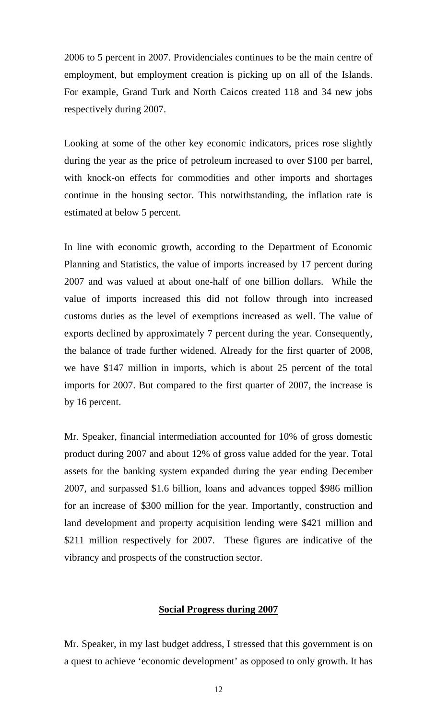2006 to 5 percent in 2007. Providenciales continues to be the main centre of employment, but employment creation is picking up on all of the Islands. For example, Grand Turk and North Caicos created 118 and 34 new jobs respectively during 2007.

Looking at some of the other key economic indicators, prices rose slightly during the year as the price of petroleum increased to over \$100 per barrel, with knock-on effects for commodities and other imports and shortages continue in the housing sector. This notwithstanding, the inflation rate is estimated at below 5 percent.

In line with economic growth, according to the Department of Economic Planning and Statistics, the value of imports increased by 17 percent during 2007 and was valued at about one-half of one billion dollars. While the value of imports increased this did not follow through into increased customs duties as the level of exemptions increased as well. The value of exports declined by approximately 7 percent during the year. Consequently, the balance of trade further widened. Already for the first quarter of 2008, we have \$147 million in imports, which is about 25 percent of the total imports for 2007. But compared to the first quarter of 2007, the increase is by 16 percent.

Mr. Speaker, financial intermediation accounted for 10% of gross domestic product during 2007 and about 12% of gross value added for the year. Total assets for the banking system expanded during the year ending December 2007, and surpassed \$1.6 billion, loans and advances topped \$986 million for an increase of \$300 million for the year. Importantly, construction and land development and property acquisition lending were \$421 million and \$211 million respectively for 2007. These figures are indicative of the vibrancy and prospects of the construction sector.

#### **Social Progress during 2007**

Mr. Speaker, in my last budget address, I stressed that this government is on a quest to achieve 'economic development' as opposed to only growth. It has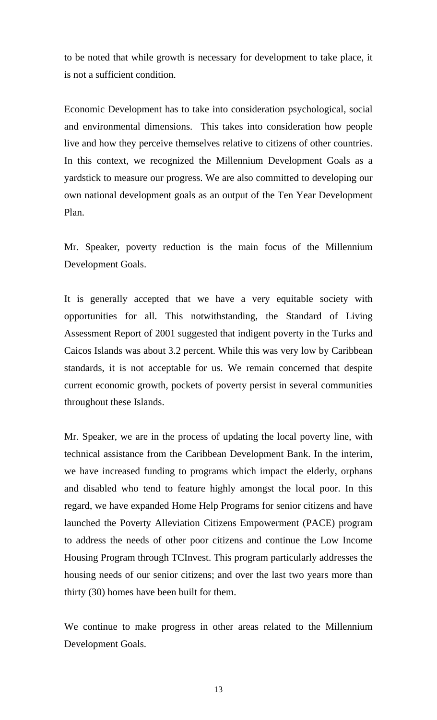to be noted that while growth is necessary for development to take place, it is not a sufficient condition.

Economic Development has to take into consideration psychological, social and environmental dimensions. This takes into consideration how people live and how they perceive themselves relative to citizens of other countries. In this context, we recognized the Millennium Development Goals as a yardstick to measure our progress. We are also committed to developing our own national development goals as an output of the Ten Year Development Plan.

Mr. Speaker, poverty reduction is the main focus of the Millennium Development Goals.

It is generally accepted that we have a very equitable society with opportunities for all. This notwithstanding, the Standard of Living Assessment Report of 2001 suggested that indigent poverty in the Turks and Caicos Islands was about 3.2 percent. While this was very low by Caribbean standards, it is not acceptable for us. We remain concerned that despite current economic growth, pockets of poverty persist in several communities throughout these Islands.

Mr. Speaker, we are in the process of updating the local poverty line, with technical assistance from the Caribbean Development Bank. In the interim, we have increased funding to programs which impact the elderly, orphans and disabled who tend to feature highly amongst the local poor. In this regard, we have expanded Home Help Programs for senior citizens and have launched the Poverty Alleviation Citizens Empowerment (PACE) program to address the needs of other poor citizens and continue the Low Income Housing Program through TCInvest. This program particularly addresses the housing needs of our senior citizens; and over the last two years more than thirty (30) homes have been built for them.

We continue to make progress in other areas related to the Millennium Development Goals.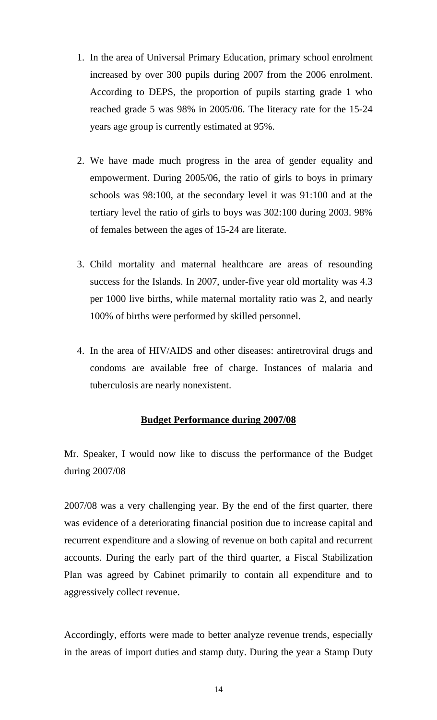- 1. In the area of Universal Primary Education, primary school enrolment increased by over 300 pupils during 2007 from the 2006 enrolment. According to DEPS, the proportion of pupils starting grade 1 who reached grade 5 was 98% in 2005/06. The literacy rate for the 15-24 years age group is currently estimated at 95%.
- 2. We have made much progress in the area of gender equality and empowerment. During 2005/06, the ratio of girls to boys in primary schools was 98:100, at the secondary level it was 91:100 and at the tertiary level the ratio of girls to boys was 302:100 during 2003. 98% of females between the ages of 15-24 are literate.
- 3. Child mortality and maternal healthcare are areas of resounding success for the Islands. In 2007, under-five year old mortality was 4.3 per 1000 live births, while maternal mortality ratio was 2, and nearly 100% of births were performed by skilled personnel.
- 4. In the area of HIV/AIDS and other diseases: antiretroviral drugs and condoms are available free of charge. Instances of malaria and tuberculosis are nearly nonexistent.

# **Budget Performance during 2007/08**

Mr. Speaker, I would now like to discuss the performance of the Budget during 2007/08

2007/08 was a very challenging year. By the end of the first quarter, there was evidence of a deteriorating financial position due to increase capital and recurrent expenditure and a slowing of revenue on both capital and recurrent accounts. During the early part of the third quarter, a Fiscal Stabilization Plan was agreed by Cabinet primarily to contain all expenditure and to aggressively collect revenue.

Accordingly, efforts were made to better analyze revenue trends, especially in the areas of import duties and stamp duty. During the year a Stamp Duty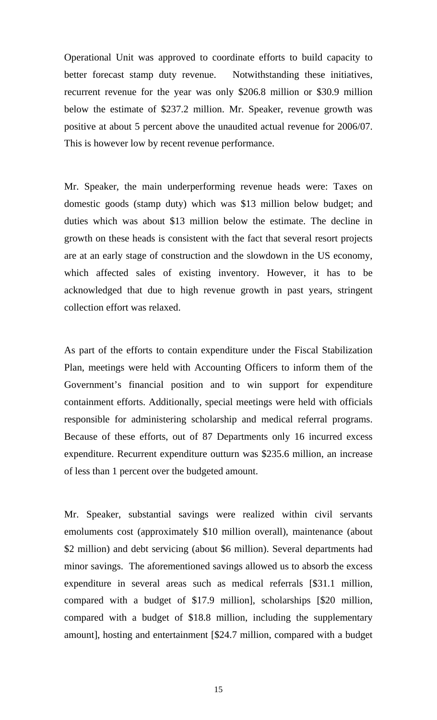Operational Unit was approved to coordinate efforts to build capacity to better forecast stamp duty revenue. Notwithstanding these initiatives, recurrent revenue for the year was only \$206.8 million or \$30.9 million below the estimate of \$237.2 million. Mr. Speaker, revenue growth was positive at about 5 percent above the unaudited actual revenue for 2006/07. This is however low by recent revenue performance.

Mr. Speaker, the main underperforming revenue heads were: Taxes on domestic goods (stamp duty) which was \$13 million below budget; and duties which was about \$13 million below the estimate. The decline in growth on these heads is consistent with the fact that several resort projects are at an early stage of construction and the slowdown in the US economy, which affected sales of existing inventory. However, it has to be acknowledged that due to high revenue growth in past years, stringent collection effort was relaxed.

As part of the efforts to contain expenditure under the Fiscal Stabilization Plan, meetings were held with Accounting Officers to inform them of the Government's financial position and to win support for expenditure containment efforts. Additionally, special meetings were held with officials responsible for administering scholarship and medical referral programs. Because of these efforts, out of 87 Departments only 16 incurred excess expenditure. Recurrent expenditure outturn was \$235.6 million, an increase of less than 1 percent over the budgeted amount.

Mr. Speaker, substantial savings were realized within civil servants emoluments cost (approximately \$10 million overall), maintenance (about \$2 million) and debt servicing (about \$6 million). Several departments had minor savings. The aforementioned savings allowed us to absorb the excess expenditure in several areas such as medical referrals [\$31.1 million, compared with a budget of \$17.9 million], scholarships [\$20 million, compared with a budget of \$18.8 million, including the supplementary amount], hosting and entertainment [\$24.7 million, compared with a budget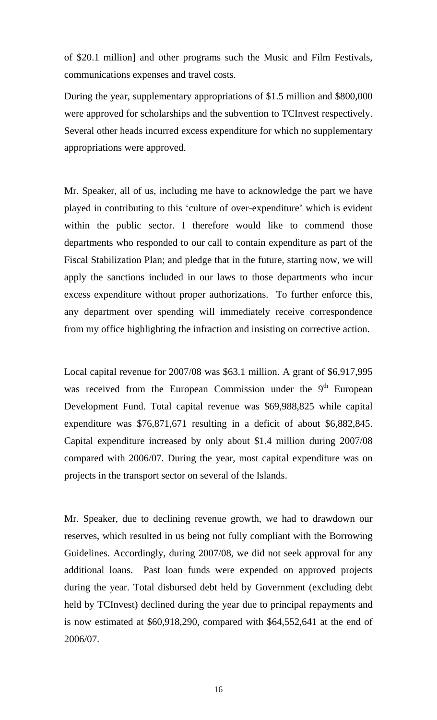of \$20.1 million] and other programs such the Music and Film Festivals, communications expenses and travel costs.

During the year, supplementary appropriations of \$1.5 million and \$800,000 were approved for scholarships and the subvention to TCInvest respectively. Several other heads incurred excess expenditure for which no supplementary appropriations were approved.

Mr. Speaker, all of us, including me have to acknowledge the part we have played in contributing to this 'culture of over-expenditure' which is evident within the public sector. I therefore would like to commend those departments who responded to our call to contain expenditure as part of the Fiscal Stabilization Plan; and pledge that in the future, starting now, we will apply the sanctions included in our laws to those departments who incur excess expenditure without proper authorizations. To further enforce this, any department over spending will immediately receive correspondence from my office highlighting the infraction and insisting on corrective action.

Local capital revenue for 2007/08 was \$63.1 million. A grant of \$6,917,995 was received from the European Commission under the 9<sup>th</sup> European Development Fund. Total capital revenue was \$69,988,825 while capital expenditure was \$76,871,671 resulting in a deficit of about \$6,882,845. Capital expenditure increased by only about \$1.4 million during 2007/08 compared with 2006/07. During the year, most capital expenditure was on projects in the transport sector on several of the Islands.

Mr. Speaker, due to declining revenue growth, we had to drawdown our reserves, which resulted in us being not fully compliant with the Borrowing Guidelines. Accordingly, during 2007/08, we did not seek approval for any additional loans. Past loan funds were expended on approved projects during the year. Total disbursed debt held by Government (excluding debt held by TCInvest) declined during the year due to principal repayments and is now estimated at \$60,918,290, compared with \$64,552,641 at the end of 2006/07.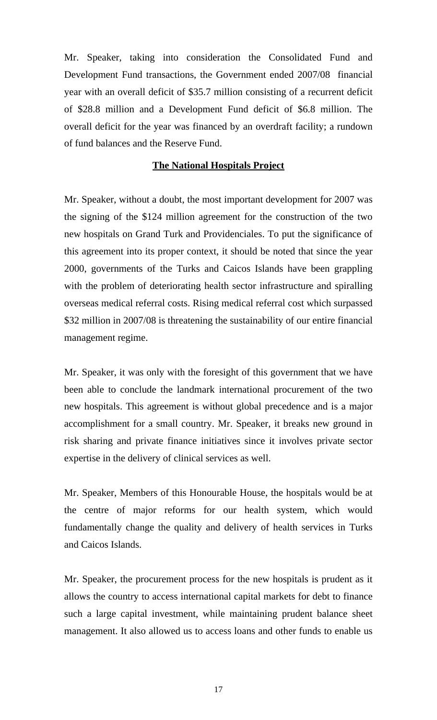Mr. Speaker, taking into consideration the Consolidated Fund and Development Fund transactions, the Government ended 2007/08 financial year with an overall deficit of \$35.7 million consisting of a recurrent deficit of \$28.8 million and a Development Fund deficit of \$6.8 million. The overall deficit for the year was financed by an overdraft facility; a rundown of fund balances and the Reserve Fund.

#### **The National Hospitals Project**

Mr. Speaker, without a doubt, the most important development for 2007 was the signing of the \$124 million agreement for the construction of the two new hospitals on Grand Turk and Providenciales. To put the significance of this agreement into its proper context, it should be noted that since the year 2000, governments of the Turks and Caicos Islands have been grappling with the problem of deteriorating health sector infrastructure and spiralling overseas medical referral costs. Rising medical referral cost which surpassed \$32 million in 2007/08 is threatening the sustainability of our entire financial management regime.

Mr. Speaker, it was only with the foresight of this government that we have been able to conclude the landmark international procurement of the two new hospitals. This agreement is without global precedence and is a major accomplishment for a small country. Mr. Speaker, it breaks new ground in risk sharing and private finance initiatives since it involves private sector expertise in the delivery of clinical services as well.

Mr. Speaker, Members of this Honourable House, the hospitals would be at the centre of major reforms for our health system, which would fundamentally change the quality and delivery of health services in Turks and Caicos Islands.

Mr. Speaker, the procurement process for the new hospitals is prudent as it allows the country to access international capital markets for debt to finance such a large capital investment, while maintaining prudent balance sheet management. It also allowed us to access loans and other funds to enable us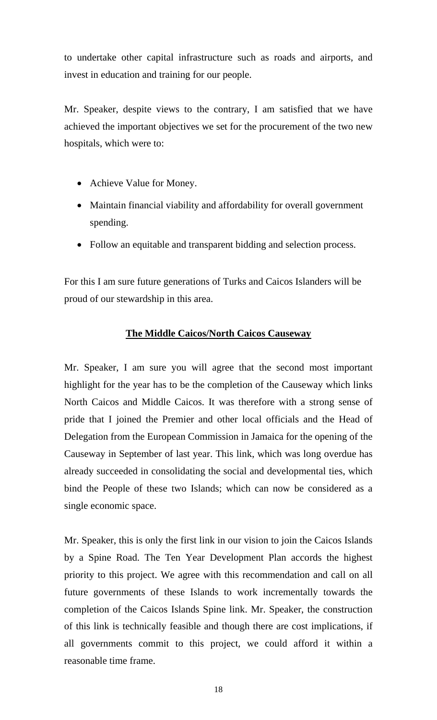to undertake other capital infrastructure such as roads and airports, and invest in education and training for our people.

Mr. Speaker, despite views to the contrary, I am satisfied that we have achieved the important objectives we set for the procurement of the two new hospitals, which were to:

- Achieve Value for Money.
- Maintain financial viability and affordability for overall government spending.
- Follow an equitable and transparent bidding and selection process.

For this I am sure future generations of Turks and Caicos Islanders will be proud of our stewardship in this area.

#### **The Middle Caicos/North Caicos Causeway**

Mr. Speaker, I am sure you will agree that the second most important highlight for the year has to be the completion of the Causeway which links North Caicos and Middle Caicos. It was therefore with a strong sense of pride that I joined the Premier and other local officials and the Head of Delegation from the European Commission in Jamaica for the opening of the Causeway in September of last year. This link, which was long overdue has already succeeded in consolidating the social and developmental ties, which bind the People of these two Islands; which can now be considered as a single economic space.

Mr. Speaker, this is only the first link in our vision to join the Caicos Islands by a Spine Road. The Ten Year Development Plan accords the highest priority to this project. We agree with this recommendation and call on all future governments of these Islands to work incrementally towards the completion of the Caicos Islands Spine link. Mr. Speaker, the construction of this link is technically feasible and though there are cost implications, if all governments commit to this project, we could afford it within a reasonable time frame.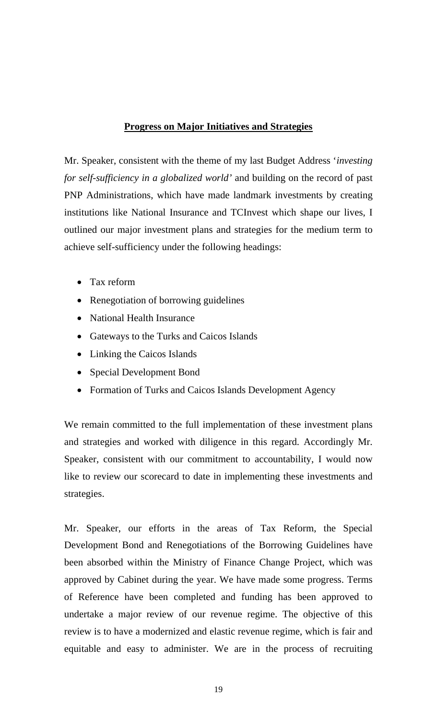#### **Progress on Major Initiatives and Strategies**

Mr. Speaker, consistent with the theme of my last Budget Address '*investing for self-sufficiency in a globalized world'* and building on the record of past PNP Administrations, which have made landmark investments by creating institutions like National Insurance and TCInvest which shape our lives, I outlined our major investment plans and strategies for the medium term to achieve self-sufficiency under the following headings:

- Tax reform
- Renegotiation of borrowing guidelines
- National Health Insurance
- Gateways to the Turks and Caicos Islands
- Linking the Caicos Islands
- Special Development Bond
- Formation of Turks and Caicos Islands Development Agency

We remain committed to the full implementation of these investment plans and strategies and worked with diligence in this regard. Accordingly Mr. Speaker, consistent with our commitment to accountability, I would now like to review our scorecard to date in implementing these investments and strategies.

Mr. Speaker, our efforts in the areas of Tax Reform, the Special Development Bond and Renegotiations of the Borrowing Guidelines have been absorbed within the Ministry of Finance Change Project, which was approved by Cabinet during the year. We have made some progress. Terms of Reference have been completed and funding has been approved to undertake a major review of our revenue regime. The objective of this review is to have a modernized and elastic revenue regime, which is fair and equitable and easy to administer. We are in the process of recruiting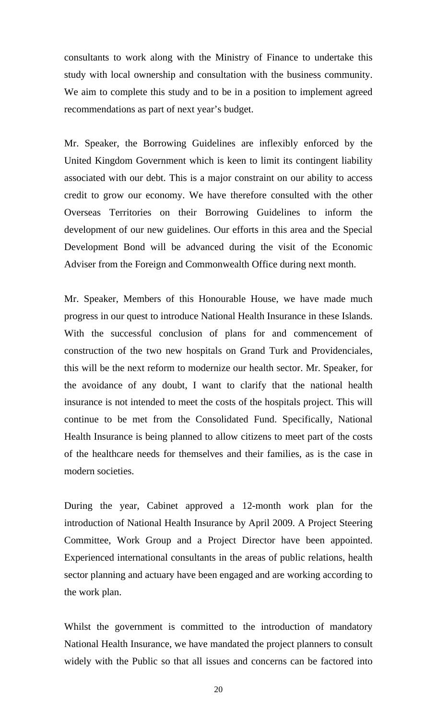consultants to work along with the Ministry of Finance to undertake this study with local ownership and consultation with the business community. We aim to complete this study and to be in a position to implement agreed recommendations as part of next year's budget.

Mr. Speaker, the Borrowing Guidelines are inflexibly enforced by the United Kingdom Government which is keen to limit its contingent liability associated with our debt. This is a major constraint on our ability to access credit to grow our economy. We have therefore consulted with the other Overseas Territories on their Borrowing Guidelines to inform the development of our new guidelines. Our efforts in this area and the Special Development Bond will be advanced during the visit of the Economic Adviser from the Foreign and Commonwealth Office during next month.

Mr. Speaker, Members of this Honourable House, we have made much progress in our quest to introduce National Health Insurance in these Islands. With the successful conclusion of plans for and commencement of construction of the two new hospitals on Grand Turk and Providenciales, this will be the next reform to modernize our health sector. Mr. Speaker, for the avoidance of any doubt, I want to clarify that the national health insurance is not intended to meet the costs of the hospitals project. This will continue to be met from the Consolidated Fund. Specifically, National Health Insurance is being planned to allow citizens to meet part of the costs of the healthcare needs for themselves and their families, as is the case in modern societies.

During the year, Cabinet approved a 12-month work plan for the introduction of National Health Insurance by April 2009. A Project Steering Committee, Work Group and a Project Director have been appointed. Experienced international consultants in the areas of public relations, health sector planning and actuary have been engaged and are working according to the work plan.

Whilst the government is committed to the introduction of mandatory National Health Insurance, we have mandated the project planners to consult widely with the Public so that all issues and concerns can be factored into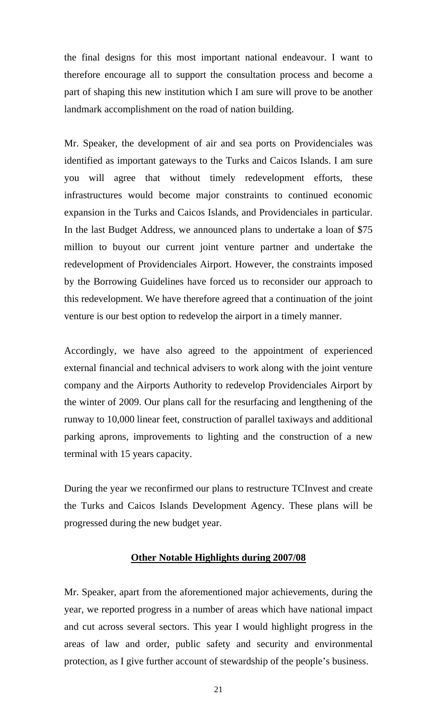the final designs for this most important national endeavour. I want to therefore encourage all to support the consultation process and become a part of shaping this new institution which I am sure will prove to be another landmark accomplishment on the road of nation building.

Mr. Speaker, the development of air and sea ports on Providenciales was identified as important gateways to the Turks and Caicos Islands. I am sure you will agree that without timely redevelopment efforts, these infrastructures would become major constraints to continued economic expansion in the Turks and Caicos Islands, and Providenciales in particular. In the last Budget Address, we announced plans to undertake a loan of \$75 million to buyout our current joint venture partner and undertake the redevelopment of Providenciales Airport. However, the constraints imposed by the Borrowing Guidelines have forced us to reconsider our approach to this redevelopment. We have therefore agreed that a continuation of the joint venture is our best option to redevelop the airport in a timely manner.

Accordingly, we have also agreed to the appointment of experienced external financial and technical advisers to work along with the joint venture company and the Airports Authority to redevelop Providenciales Airport by the winter of 2009. Our plans call for the resurfacing and lengthening of the runway to 10,000 linear feet, construction of parallel taxiways and additional parking aprons, improvements to lighting and the construction of a new terminal with 15 years capacity.

During the year we reconfirmed our plans to restructure TCInvest and create the Turks and Caicos Islands Development Agency. These plans will be progressed during the new budget year.

#### **Other Notable Highlights during 2007/08**

Mr. Speaker, apart from the aforementioned major achievements, during the year, we reported progress in a number of areas which have national impact and cut across several sectors. This year I would highlight progress in the areas of law and order, public safety and security and environmental protection, as I give further account of stewardship of the people's business.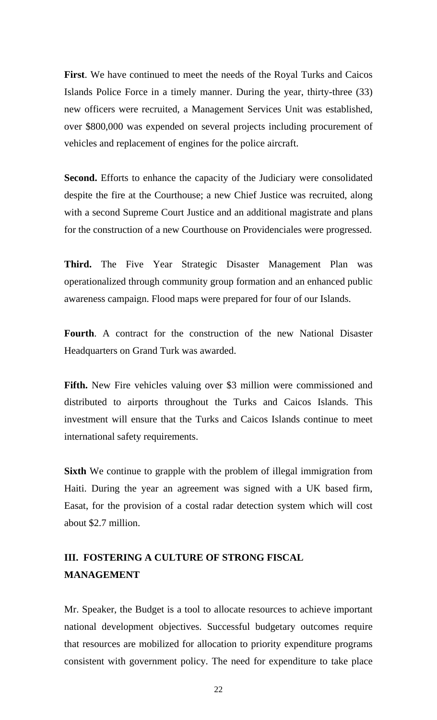**First**. We have continued to meet the needs of the Royal Turks and Caicos Islands Police Force in a timely manner. During the year, thirty-three (33) new officers were recruited, a Management Services Unit was established, over \$800,000 was expended on several projects including procurement of vehicles and replacement of engines for the police aircraft.

**Second.** Efforts to enhance the capacity of the Judiciary were consolidated despite the fire at the Courthouse; a new Chief Justice was recruited, along with a second Supreme Court Justice and an additional magistrate and plans for the construction of a new Courthouse on Providenciales were progressed.

**Third.** The Five Year Strategic Disaster Management Plan was operationalized through community group formation and an enhanced public awareness campaign. Flood maps were prepared for four of our Islands.

**Fourth**. A contract for the construction of the new National Disaster Headquarters on Grand Turk was awarded.

Fifth. New Fire vehicles valuing over \$3 million were commissioned and distributed to airports throughout the Turks and Caicos Islands. This investment will ensure that the Turks and Caicos Islands continue to meet international safety requirements.

**Sixth** We continue to grapple with the problem of illegal immigration from Haiti. During the year an agreement was signed with a UK based firm, Easat, for the provision of a costal radar detection system which will cost about \$2.7 million.

# **III. FOSTERING A CULTURE OF STRONG FISCAL MANAGEMENT**

Mr. Speaker, the Budget is a tool to allocate resources to achieve important national development objectives. Successful budgetary outcomes require that resources are mobilized for allocation to priority expenditure programs consistent with government policy. The need for expenditure to take place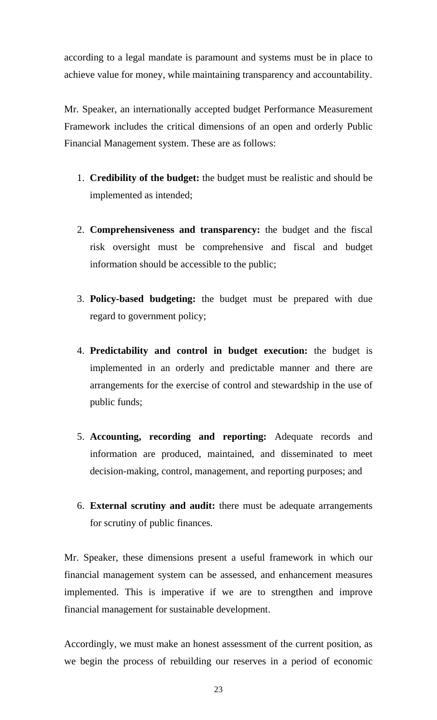according to a legal mandate is paramount and systems must be in place to achieve value for money, while maintaining transparency and accountability.

Mr. Speaker, an internationally accepted budget Performance Measurement Framework includes the critical dimensions of an open and orderly Public Financial Management system. These are as follows:

- 1. **Credibility of the budget:** the budget must be realistic and should be implemented as intended;
- 2. **Comprehensiveness and transparency:** the budget and the fiscal risk oversight must be comprehensive and fiscal and budget information should be accessible to the public;
- 3. **Policy-based budgeting:** the budget must be prepared with due regard to government policy;
- 4. **Predictability and control in budget execution:** the budget is implemented in an orderly and predictable manner and there are arrangements for the exercise of control and stewardship in the use of public funds;
- 5. **Accounting, recording and reporting:** Adequate records and information are produced, maintained, and disseminated to meet decision-making, control, management, and reporting purposes; and
- 6. **External scrutiny and audit:** there must be adequate arrangements for scrutiny of public finances.

Mr. Speaker, these dimensions present a useful framework in which our financial management system can be assessed, and enhancement measures implemented. This is imperative if we are to strengthen and improve financial management for sustainable development.

Accordingly, we must make an honest assessment of the current position, as we begin the process of rebuilding our reserves in a period of economic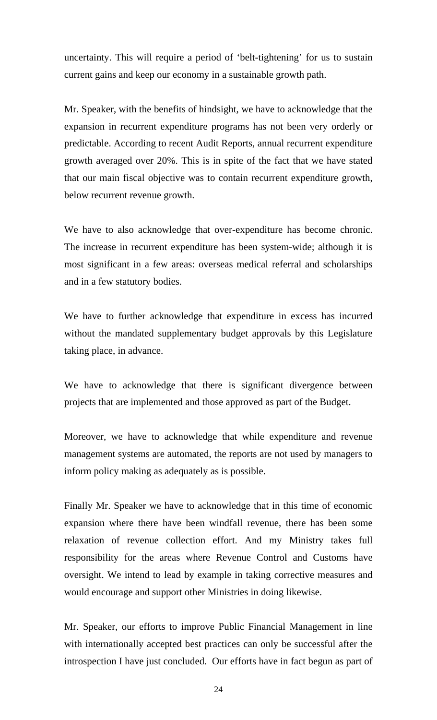uncertainty. This will require a period of 'belt-tightening' for us to sustain current gains and keep our economy in a sustainable growth path.

Mr. Speaker, with the benefits of hindsight, we have to acknowledge that the expansion in recurrent expenditure programs has not been very orderly or predictable. According to recent Audit Reports, annual recurrent expenditure growth averaged over 20%. This is in spite of the fact that we have stated that our main fiscal objective was to contain recurrent expenditure growth, below recurrent revenue growth.

We have to also acknowledge that over-expenditure has become chronic. The increase in recurrent expenditure has been system-wide; although it is most significant in a few areas: overseas medical referral and scholarships and in a few statutory bodies.

We have to further acknowledge that expenditure in excess has incurred without the mandated supplementary budget approvals by this Legislature taking place, in advance.

We have to acknowledge that there is significant divergence between projects that are implemented and those approved as part of the Budget.

Moreover, we have to acknowledge that while expenditure and revenue management systems are automated, the reports are not used by managers to inform policy making as adequately as is possible.

Finally Mr. Speaker we have to acknowledge that in this time of economic expansion where there have been windfall revenue, there has been some relaxation of revenue collection effort. And my Ministry takes full responsibility for the areas where Revenue Control and Customs have oversight. We intend to lead by example in taking corrective measures and would encourage and support other Ministries in doing likewise.

Mr. Speaker, our efforts to improve Public Financial Management in line with internationally accepted best practices can only be successful after the introspection I have just concluded. Our efforts have in fact begun as part of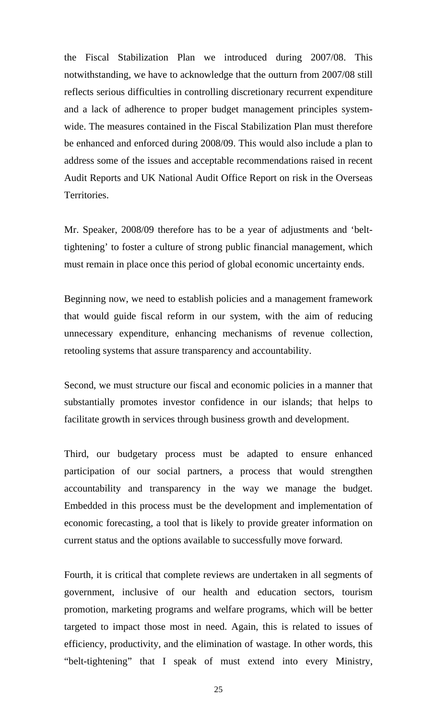the Fiscal Stabilization Plan we introduced during 2007/08. This notwithstanding, we have to acknowledge that the outturn from 2007/08 still reflects serious difficulties in controlling discretionary recurrent expenditure and a lack of adherence to proper budget management principles systemwide. The measures contained in the Fiscal Stabilization Plan must therefore be enhanced and enforced during 2008/09. This would also include a plan to address some of the issues and acceptable recommendations raised in recent Audit Reports and UK National Audit Office Report on risk in the Overseas Territories.

Mr. Speaker, 2008/09 therefore has to be a year of adjustments and 'belttightening' to foster a culture of strong public financial management, which must remain in place once this period of global economic uncertainty ends.

Beginning now, we need to establish policies and a management framework that would guide fiscal reform in our system, with the aim of reducing unnecessary expenditure, enhancing mechanisms of revenue collection, retooling systems that assure transparency and accountability.

Second, we must structure our fiscal and economic policies in a manner that substantially promotes investor confidence in our islands; that helps to facilitate growth in services through business growth and development.

Third, our budgetary process must be adapted to ensure enhanced participation of our social partners, a process that would strengthen accountability and transparency in the way we manage the budget. Embedded in this process must be the development and implementation of economic forecasting, a tool that is likely to provide greater information on current status and the options available to successfully move forward.

Fourth, it is critical that complete reviews are undertaken in all segments of government, inclusive of our health and education sectors, tourism promotion, marketing programs and welfare programs, which will be better targeted to impact those most in need. Again, this is related to issues of efficiency, productivity, and the elimination of wastage. In other words, this "belt-tightening" that I speak of must extend into every Ministry,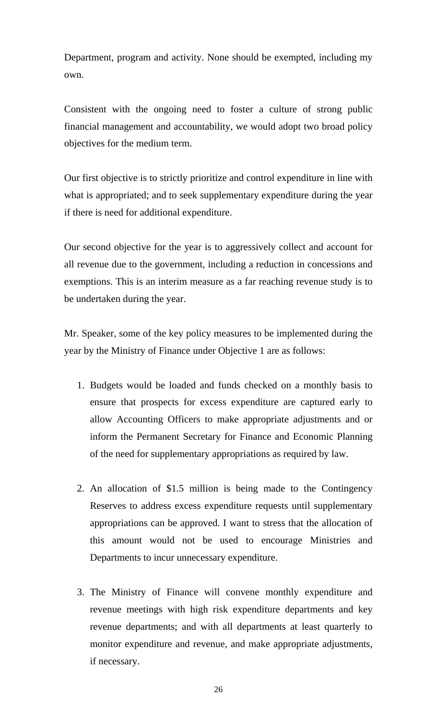Department, program and activity. None should be exempted, including my own.

Consistent with the ongoing need to foster a culture of strong public financial management and accountability, we would adopt two broad policy objectives for the medium term.

Our first objective is to strictly prioritize and control expenditure in line with what is appropriated; and to seek supplementary expenditure during the year if there is need for additional expenditure.

Our second objective for the year is to aggressively collect and account for all revenue due to the government, including a reduction in concessions and exemptions. This is an interim measure as a far reaching revenue study is to be undertaken during the year.

Mr. Speaker, some of the key policy measures to be implemented during the year by the Ministry of Finance under Objective 1 are as follows:

- 1. Budgets would be loaded and funds checked on a monthly basis to ensure that prospects for excess expenditure are captured early to allow Accounting Officers to make appropriate adjustments and or inform the Permanent Secretary for Finance and Economic Planning of the need for supplementary appropriations as required by law.
- 2. An allocation of \$1.5 million is being made to the Contingency Reserves to address excess expenditure requests until supplementary appropriations can be approved. I want to stress that the allocation of this amount would not be used to encourage Ministries and Departments to incur unnecessary expenditure.
- 3. The Ministry of Finance will convene monthly expenditure and revenue meetings with high risk expenditure departments and key revenue departments; and with all departments at least quarterly to monitor expenditure and revenue, and make appropriate adjustments, if necessary.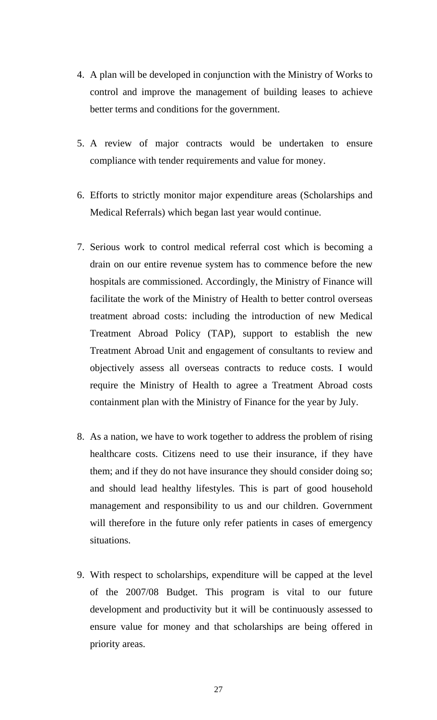- 4. A plan will be developed in conjunction with the Ministry of Works to control and improve the management of building leases to achieve better terms and conditions for the government.
- 5. A review of major contracts would be undertaken to ensure compliance with tender requirements and value for money.
- 6. Efforts to strictly monitor major expenditure areas (Scholarships and Medical Referrals) which began last year would continue.
- 7. Serious work to control medical referral cost which is becoming a drain on our entire revenue system has to commence before the new hospitals are commissioned. Accordingly, the Ministry of Finance will facilitate the work of the Ministry of Health to better control overseas treatment abroad costs: including the introduction of new Medical Treatment Abroad Policy (TAP), support to establish the new Treatment Abroad Unit and engagement of consultants to review and objectively assess all overseas contracts to reduce costs. I would require the Ministry of Health to agree a Treatment Abroad costs containment plan with the Ministry of Finance for the year by July.
- 8. As a nation, we have to work together to address the problem of rising healthcare costs. Citizens need to use their insurance, if they have them; and if they do not have insurance they should consider doing so; and should lead healthy lifestyles. This is part of good household management and responsibility to us and our children. Government will therefore in the future only refer patients in cases of emergency situations.
- 9. With respect to scholarships, expenditure will be capped at the level of the 2007/08 Budget. This program is vital to our future development and productivity but it will be continuously assessed to ensure value for money and that scholarships are being offered in priority areas.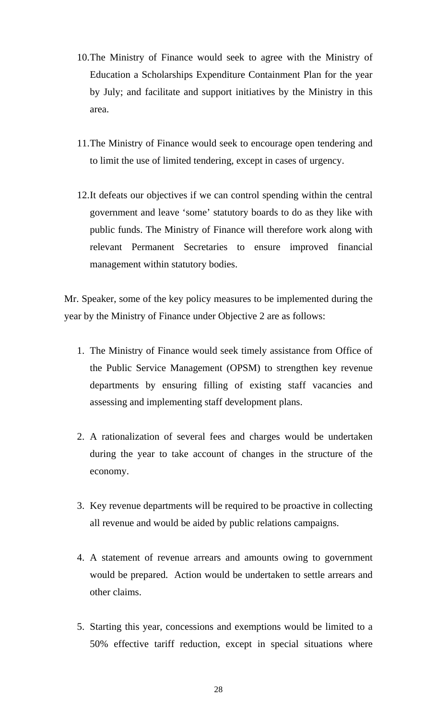- 10.The Ministry of Finance would seek to agree with the Ministry of Education a Scholarships Expenditure Containment Plan for the year by July; and facilitate and support initiatives by the Ministry in this area.
- 11.The Ministry of Finance would seek to encourage open tendering and to limit the use of limited tendering, except in cases of urgency.
- 12.It defeats our objectives if we can control spending within the central government and leave 'some' statutory boards to do as they like with public funds. The Ministry of Finance will therefore work along with relevant Permanent Secretaries to ensure improved financial management within statutory bodies.

Mr. Speaker, some of the key policy measures to be implemented during the year by the Ministry of Finance under Objective 2 are as follows:

- 1. The Ministry of Finance would seek timely assistance from Office of the Public Service Management (OPSM) to strengthen key revenue departments by ensuring filling of existing staff vacancies and assessing and implementing staff development plans.
- 2. A rationalization of several fees and charges would be undertaken during the year to take account of changes in the structure of the economy.
- 3. Key revenue departments will be required to be proactive in collecting all revenue and would be aided by public relations campaigns.
- 4. A statement of revenue arrears and amounts owing to government would be prepared. Action would be undertaken to settle arrears and other claims.
- 5. Starting this year, concessions and exemptions would be limited to a 50% effective tariff reduction, except in special situations where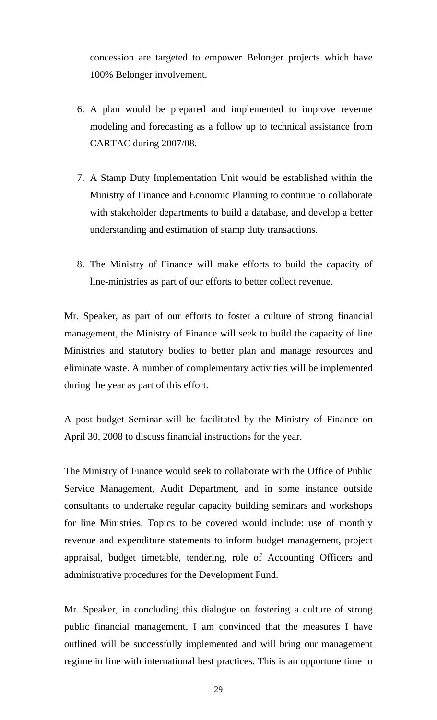concession are targeted to empower Belonger projects which have 100% Belonger involvement.

- 6. A plan would be prepared and implemented to improve revenue modeling and forecasting as a follow up to technical assistance from CARTAC during 2007/08.
- 7. A Stamp Duty Implementation Unit would be established within the Ministry of Finance and Economic Planning to continue to collaborate with stakeholder departments to build a database, and develop a better understanding and estimation of stamp duty transactions.
- 8. The Ministry of Finance will make efforts to build the capacity of line-ministries as part of our efforts to better collect revenue.

Mr. Speaker, as part of our efforts to foster a culture of strong financial management, the Ministry of Finance will seek to build the capacity of line Ministries and statutory bodies to better plan and manage resources and eliminate waste. A number of complementary activities will be implemented during the year as part of this effort.

A post budget Seminar will be facilitated by the Ministry of Finance on April 30, 2008 to discuss financial instructions for the year.

The Ministry of Finance would seek to collaborate with the Office of Public Service Management, Audit Department, and in some instance outside consultants to undertake regular capacity building seminars and workshops for line Ministries. Topics to be covered would include: use of monthly revenue and expenditure statements to inform budget management, project appraisal, budget timetable, tendering, role of Accounting Officers and administrative procedures for the Development Fund.

Mr. Speaker, in concluding this dialogue on fostering a culture of strong public financial management, I am convinced that the measures I have outlined will be successfully implemented and will bring our management regime in line with international best practices. This is an opportune time to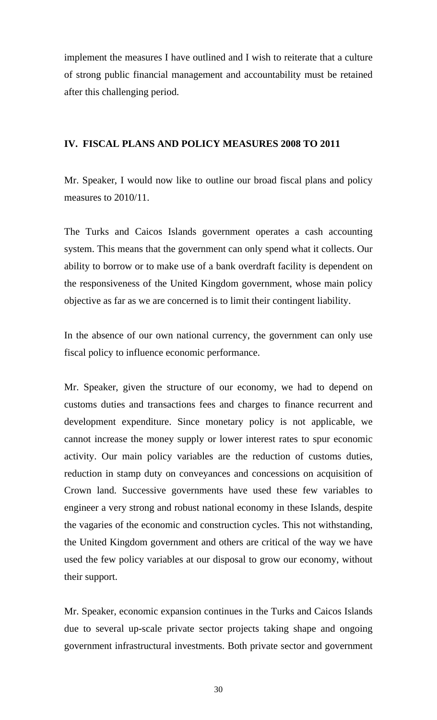implement the measures I have outlined and I wish to reiterate that a culture of strong public financial management and accountability must be retained after this challenging period.

#### **IV. FISCAL PLANS AND POLICY MEASURES 2008 TO 2011**

Mr. Speaker, I would now like to outline our broad fiscal plans and policy measures to 2010/11.

The Turks and Caicos Islands government operates a cash accounting system. This means that the government can only spend what it collects. Our ability to borrow or to make use of a bank overdraft facility is dependent on the responsiveness of the United Kingdom government, whose main policy objective as far as we are concerned is to limit their contingent liability.

In the absence of our own national currency, the government can only use fiscal policy to influence economic performance.

Mr. Speaker, given the structure of our economy, we had to depend on customs duties and transactions fees and charges to finance recurrent and development expenditure. Since monetary policy is not applicable, we cannot increase the money supply or lower interest rates to spur economic activity. Our main policy variables are the reduction of customs duties, reduction in stamp duty on conveyances and concessions on acquisition of Crown land. Successive governments have used these few variables to engineer a very strong and robust national economy in these Islands, despite the vagaries of the economic and construction cycles. This not withstanding, the United Kingdom government and others are critical of the way we have used the few policy variables at our disposal to grow our economy, without their support.

Mr. Speaker, economic expansion continues in the Turks and Caicos Islands due to several up-scale private sector projects taking shape and ongoing government infrastructural investments. Both private sector and government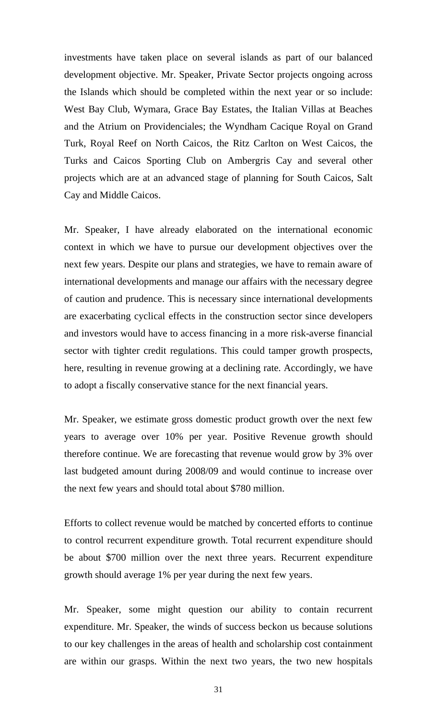investments have taken place on several islands as part of our balanced development objective. Mr. Speaker, Private Sector projects ongoing across the Islands which should be completed within the next year or so include: West Bay Club, Wymara, Grace Bay Estates, the Italian Villas at Beaches and the Atrium on Providenciales; the Wyndham Cacique Royal on Grand Turk, Royal Reef on North Caicos, the Ritz Carlton on West Caicos, the Turks and Caicos Sporting Club on Ambergris Cay and several other projects which are at an advanced stage of planning for South Caicos, Salt Cay and Middle Caicos.

Mr. Speaker, I have already elaborated on the international economic context in which we have to pursue our development objectives over the next few years. Despite our plans and strategies, we have to remain aware of international developments and manage our affairs with the necessary degree of caution and prudence. This is necessary since international developments are exacerbating cyclical effects in the construction sector since developers and investors would have to access financing in a more risk-averse financial sector with tighter credit regulations. This could tamper growth prospects, here, resulting in revenue growing at a declining rate. Accordingly, we have to adopt a fiscally conservative stance for the next financial years.

Mr. Speaker, we estimate gross domestic product growth over the next few years to average over 10% per year. Positive Revenue growth should therefore continue. We are forecasting that revenue would grow by 3% over last budgeted amount during 2008/09 and would continue to increase over the next few years and should total about \$780 million.

Efforts to collect revenue would be matched by concerted efforts to continue to control recurrent expenditure growth. Total recurrent expenditure should be about \$700 million over the next three years. Recurrent expenditure growth should average 1% per year during the next few years.

Mr. Speaker, some might question our ability to contain recurrent expenditure. Mr. Speaker, the winds of success beckon us because solutions to our key challenges in the areas of health and scholarship cost containment are within our grasps. Within the next two years, the two new hospitals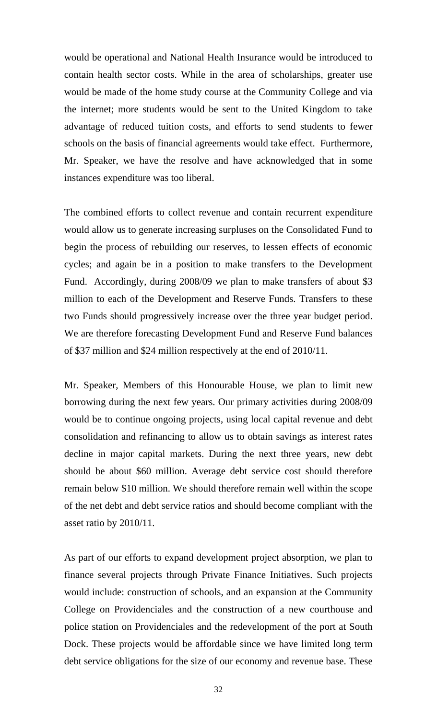would be operational and National Health Insurance would be introduced to contain health sector costs. While in the area of scholarships, greater use would be made of the home study course at the Community College and via the internet; more students would be sent to the United Kingdom to take advantage of reduced tuition costs, and efforts to send students to fewer schools on the basis of financial agreements would take effect. Furthermore, Mr. Speaker, we have the resolve and have acknowledged that in some instances expenditure was too liberal.

The combined efforts to collect revenue and contain recurrent expenditure would allow us to generate increasing surpluses on the Consolidated Fund to begin the process of rebuilding our reserves, to lessen effects of economic cycles; and again be in a position to make transfers to the Development Fund. Accordingly, during 2008/09 we plan to make transfers of about \$3 million to each of the Development and Reserve Funds. Transfers to these two Funds should progressively increase over the three year budget period. We are therefore forecasting Development Fund and Reserve Fund balances of \$37 million and \$24 million respectively at the end of 2010/11.

Mr. Speaker, Members of this Honourable House, we plan to limit new borrowing during the next few years. Our primary activities during 2008/09 would be to continue ongoing projects, using local capital revenue and debt consolidation and refinancing to allow us to obtain savings as interest rates decline in major capital markets. During the next three years, new debt should be about \$60 million. Average debt service cost should therefore remain below \$10 million. We should therefore remain well within the scope of the net debt and debt service ratios and should become compliant with the asset ratio by 2010/11.

As part of our efforts to expand development project absorption, we plan to finance several projects through Private Finance Initiatives. Such projects would include: construction of schools, and an expansion at the Community College on Providenciales and the construction of a new courthouse and police station on Providenciales and the redevelopment of the port at South Dock. These projects would be affordable since we have limited long term debt service obligations for the size of our economy and revenue base. These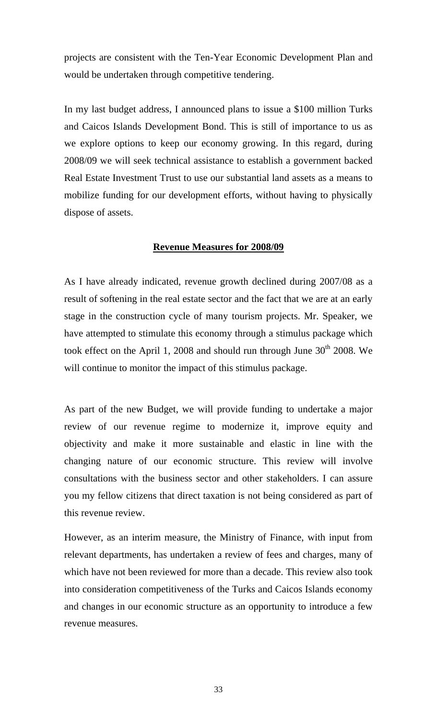projects are consistent with the Ten-Year Economic Development Plan and would be undertaken through competitive tendering.

In my last budget address, I announced plans to issue a \$100 million Turks and Caicos Islands Development Bond. This is still of importance to us as we explore options to keep our economy growing. In this regard, during 2008/09 we will seek technical assistance to establish a government backed Real Estate Investment Trust to use our substantial land assets as a means to mobilize funding for our development efforts, without having to physically dispose of assets.

#### **Revenue Measures for 2008/09**

As I have already indicated, revenue growth declined during 2007/08 as a result of softening in the real estate sector and the fact that we are at an early stage in the construction cycle of many tourism projects. Mr. Speaker, we have attempted to stimulate this economy through a stimulus package which took effect on the April 1, 2008 and should run through June  $30<sup>th</sup>$  2008. We will continue to monitor the impact of this stimulus package.

As part of the new Budget, we will provide funding to undertake a major review of our revenue regime to modernize it, improve equity and objectivity and make it more sustainable and elastic in line with the changing nature of our economic structure. This review will involve consultations with the business sector and other stakeholders. I can assure you my fellow citizens that direct taxation is not being considered as part of this revenue review.

However, as an interim measure, the Ministry of Finance, with input from relevant departments, has undertaken a review of fees and charges, many of which have not been reviewed for more than a decade. This review also took into consideration competitiveness of the Turks and Caicos Islands economy and changes in our economic structure as an opportunity to introduce a few revenue measures.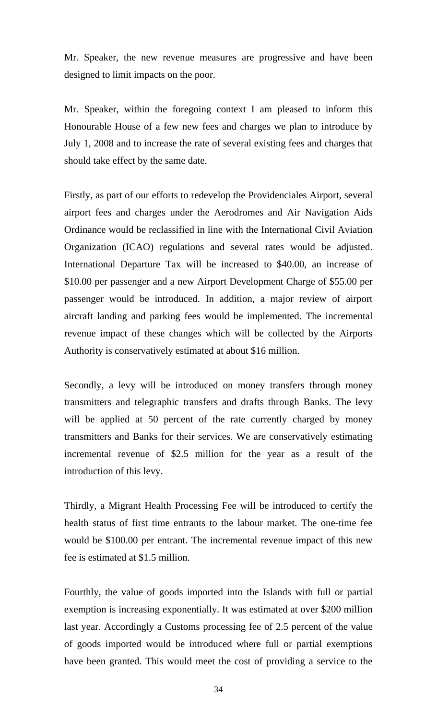Mr. Speaker, the new revenue measures are progressive and have been designed to limit impacts on the poor.

Mr. Speaker, within the foregoing context I am pleased to inform this Honourable House of a few new fees and charges we plan to introduce by July 1, 2008 and to increase the rate of several existing fees and charges that should take effect by the same date.

Firstly, as part of our efforts to redevelop the Providenciales Airport, several airport fees and charges under the Aerodromes and Air Navigation Aids Ordinance would be reclassified in line with the International Civil Aviation Organization (ICAO) regulations and several rates would be adjusted. International Departure Tax will be increased to \$40.00, an increase of \$10.00 per passenger and a new Airport Development Charge of \$55.00 per passenger would be introduced. In addition, a major review of airport aircraft landing and parking fees would be implemented. The incremental revenue impact of these changes which will be collected by the Airports Authority is conservatively estimated at about \$16 million.

Secondly, a levy will be introduced on money transfers through money transmitters and telegraphic transfers and drafts through Banks. The levy will be applied at 50 percent of the rate currently charged by money transmitters and Banks for their services. We are conservatively estimating incremental revenue of \$2.5 million for the year as a result of the introduction of this levy.

Thirdly, a Migrant Health Processing Fee will be introduced to certify the health status of first time entrants to the labour market. The one-time fee would be \$100.00 per entrant. The incremental revenue impact of this new fee is estimated at \$1.5 million.

Fourthly, the value of goods imported into the Islands with full or partial exemption is increasing exponentially. It was estimated at over \$200 million last year. Accordingly a Customs processing fee of 2.5 percent of the value of goods imported would be introduced where full or partial exemptions have been granted. This would meet the cost of providing a service to the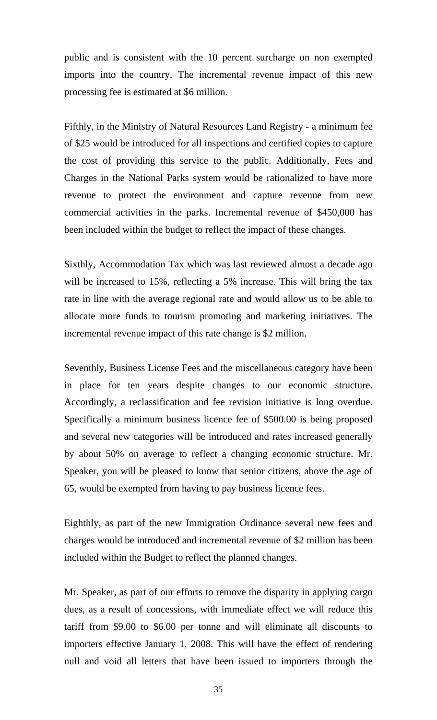public and is consistent with the 10 percent surcharge on non exempted imports into the country. The incremental revenue impact of this new processing fee is estimated at \$6 million.

Fifthly, in the Ministry of Natural Resources Land Registry - a minimum fee of \$25 would be introduced for all inspections and certified copies to capture the cost of providing this service to the public. Additionally, Fees and Charges in the National Parks system would be rationalized to have more revenue to protect the environment and capture revenue from new commercial activities in the parks. Incremental revenue of \$450,000 has been included within the budget to reflect the impact of these changes.

Sixthly, Accommodation Tax which was last reviewed almost a decade ago will be increased to 15%, reflecting a 5% increase. This will bring the tax rate in line with the average regional rate and would allow us to be able to allocate more funds to tourism promoting and marketing initiatives. The incremental revenue impact of this rate change is \$2 million.

Seventhly, Business License Fees and the miscellaneous category have been in place for ten years despite changes to our economic structure. Accordingly, a reclassification and fee revision initiative is long overdue. Specifically a minimum business licence fee of \$500.00 is being proposed and several new categories will be introduced and rates increased generally by about 50% on average to reflect a changing economic structure. Mr. Speaker, you will be pleased to know that senior citizens, above the age of 65, would be exempted from having to pay business licence fees.

Eighthly, as part of the new Immigration Ordinance several new fees and charges would be introduced and incremental revenue of \$2 million has been included within the Budget to reflect the planned changes.

Mr. Speaker, as part of our efforts to remove the disparity in applying cargo dues, as a result of concessions, with immediate effect we will reduce this tariff from \$9.00 to \$6.00 per tonne and will eliminate all discounts to importers effective January 1, 2008. This will have the effect of rendering null and void all letters that have been issued to importers through the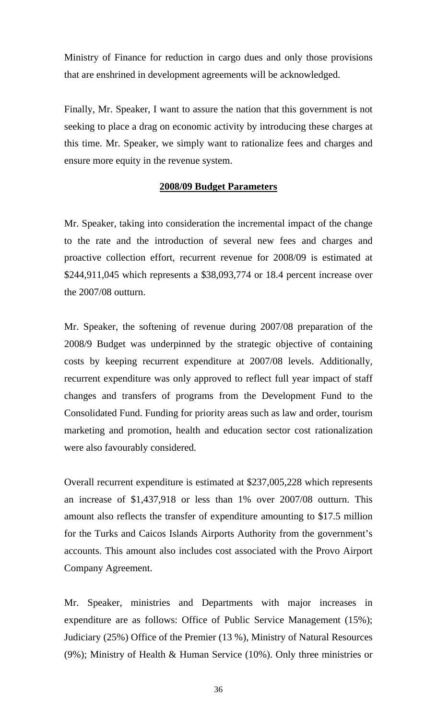Ministry of Finance for reduction in cargo dues and only those provisions that are enshrined in development agreements will be acknowledged.

Finally, Mr. Speaker, I want to assure the nation that this government is not seeking to place a drag on economic activity by introducing these charges at this time. Mr. Speaker, we simply want to rationalize fees and charges and ensure more equity in the revenue system.

#### **2008/09 Budget Parameters**

Mr. Speaker, taking into consideration the incremental impact of the change to the rate and the introduction of several new fees and charges and proactive collection effort, recurrent revenue for 2008/09 is estimated at \$244,911,045 which represents a \$38,093,774 or 18.4 percent increase over the 2007/08 outturn.

Mr. Speaker, the softening of revenue during 2007/08 preparation of the 2008/9 Budget was underpinned by the strategic objective of containing costs by keeping recurrent expenditure at 2007/08 levels. Additionally, recurrent expenditure was only approved to reflect full year impact of staff changes and transfers of programs from the Development Fund to the Consolidated Fund. Funding for priority areas such as law and order, tourism marketing and promotion, health and education sector cost rationalization were also favourably considered.

Overall recurrent expenditure is estimated at \$237,005,228 which represents an increase of \$1,437,918 or less than 1% over 2007/08 outturn. This amount also reflects the transfer of expenditure amounting to \$17.5 million for the Turks and Caicos Islands Airports Authority from the government's accounts. This amount also includes cost associated with the Provo Airport Company Agreement.

Mr. Speaker, ministries and Departments with major increases in expenditure are as follows: Office of Public Service Management (15%); Judiciary (25%) Office of the Premier (13 %), Ministry of Natural Resources (9%); Ministry of Health & Human Service (10%). Only three ministries or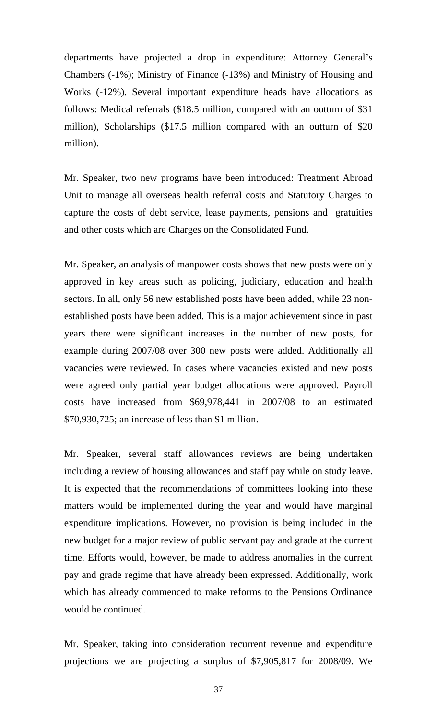departments have projected a drop in expenditure: Attorney General's Chambers (-1%); Ministry of Finance (-13%) and Ministry of Housing and Works (-12%). Several important expenditure heads have allocations as follows: Medical referrals (\$18.5 million, compared with an outturn of \$31 million), Scholarships (\$17.5 million compared with an outturn of \$20 million).

Mr. Speaker, two new programs have been introduced: Treatment Abroad Unit to manage all overseas health referral costs and Statutory Charges to capture the costs of debt service, lease payments, pensions and gratuities and other costs which are Charges on the Consolidated Fund.

Mr. Speaker, an analysis of manpower costs shows that new posts were only approved in key areas such as policing, judiciary, education and health sectors. In all, only 56 new established posts have been added, while 23 nonestablished posts have been added. This is a major achievement since in past years there were significant increases in the number of new posts, for example during 2007/08 over 300 new posts were added. Additionally all vacancies were reviewed. In cases where vacancies existed and new posts were agreed only partial year budget allocations were approved. Payroll costs have increased from \$69,978,441 in 2007/08 to an estimated \$70,930,725; an increase of less than \$1 million.

Mr. Speaker, several staff allowances reviews are being undertaken including a review of housing allowances and staff pay while on study leave. It is expected that the recommendations of committees looking into these matters would be implemented during the year and would have marginal expenditure implications. However, no provision is being included in the new budget for a major review of public servant pay and grade at the current time. Efforts would, however, be made to address anomalies in the current pay and grade regime that have already been expressed. Additionally, work which has already commenced to make reforms to the Pensions Ordinance would be continued.

Mr. Speaker, taking into consideration recurrent revenue and expenditure projections we are projecting a surplus of \$7,905,817 for 2008/09. We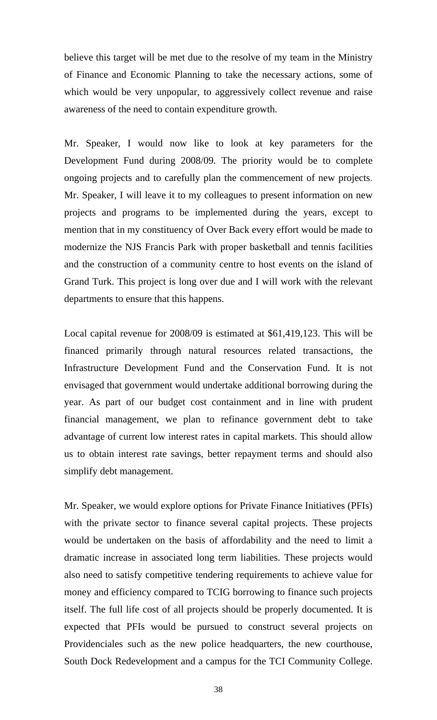believe this target will be met due to the resolve of my team in the Ministry of Finance and Economic Planning to take the necessary actions, some of which would be very unpopular, to aggressively collect revenue and raise awareness of the need to contain expenditure growth.

Mr. Speaker, I would now like to look at key parameters for the Development Fund during 2008/09. The priority would be to complete ongoing projects and to carefully plan the commencement of new projects. Mr. Speaker, I will leave it to my colleagues to present information on new projects and programs to be implemented during the years, except to mention that in my constituency of Over Back every effort would be made to modernize the NJS Francis Park with proper basketball and tennis facilities and the construction of a community centre to host events on the island of Grand Turk. This project is long over due and I will work with the relevant departments to ensure that this happens.

Local capital revenue for 2008/09 is estimated at \$61,419,123. This will be financed primarily through natural resources related transactions, the Infrastructure Development Fund and the Conservation Fund. It is not envisaged that government would undertake additional borrowing during the year. As part of our budget cost containment and in line with prudent financial management, we plan to refinance government debt to take advantage of current low interest rates in capital markets. This should allow us to obtain interest rate savings, better repayment terms and should also simplify debt management.

Mr. Speaker, we would explore options for Private Finance Initiatives (PFIs) with the private sector to finance several capital projects. These projects would be undertaken on the basis of affordability and the need to limit a dramatic increase in associated long term liabilities. These projects would also need to satisfy competitive tendering requirements to achieve value for money and efficiency compared to TCIG borrowing to finance such projects itself. The full life cost of all projects should be properly documented. It is expected that PFIs would be pursued to construct several projects on Providenciales such as the new police headquarters, the new courthouse, South Dock Redevelopment and a campus for the TCI Community College.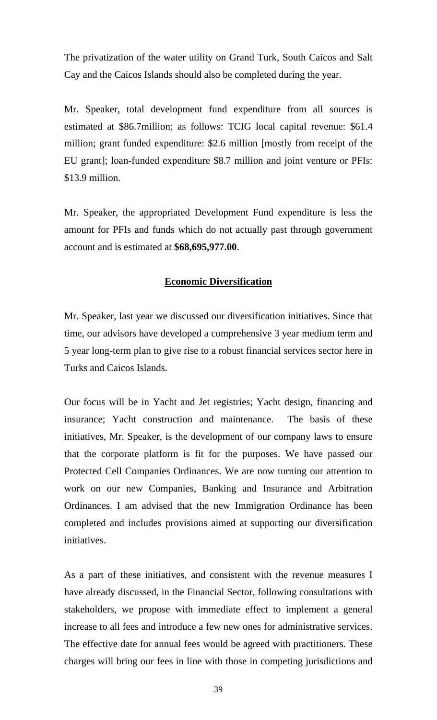The privatization of the water utility on Grand Turk, South Caicos and Salt Cay and the Caicos Islands should also be completed during the year.

Mr. Speaker, total development fund expenditure from all sources is estimated at \$86.7million; as follows: TCIG local capital revenue: \$61.4 million; grant funded expenditure: \$2.6 million [mostly from receipt of the EU grant]; loan-funded expenditure \$8.7 million and joint venture or PFIs: \$13.9 million.

Mr. Speaker, the appropriated Development Fund expenditure is less the amount for PFIs and funds which do not actually past through government account and is estimated at **\$68,695,977.00**.

#### **Economic Diversification**

Mr. Speaker, last year we discussed our diversification initiatives. Since that time, our advisors have developed a comprehensive 3 year medium term and 5 year long-term plan to give rise to a robust financial services sector here in Turks and Caicos Islands.

Our focus will be in Yacht and Jet registries; Yacht design, financing and insurance; Yacht construction and maintenance. The basis of these initiatives, Mr. Speaker, is the development of our company laws to ensure that the corporate platform is fit for the purposes. We have passed our Protected Cell Companies Ordinances. We are now turning our attention to work on our new Companies, Banking and Insurance and Arbitration Ordinances. I am advised that the new Immigration Ordinance has been completed and includes provisions aimed at supporting our diversification initiatives.

As a part of these initiatives, and consistent with the revenue measures I have already discussed, in the Financial Sector, following consultations with stakeholders, we propose with immediate effect to implement a general increase to all fees and introduce a few new ones for administrative services. The effective date for annual fees would be agreed with practitioners. These charges will bring our fees in line with those in competing jurisdictions and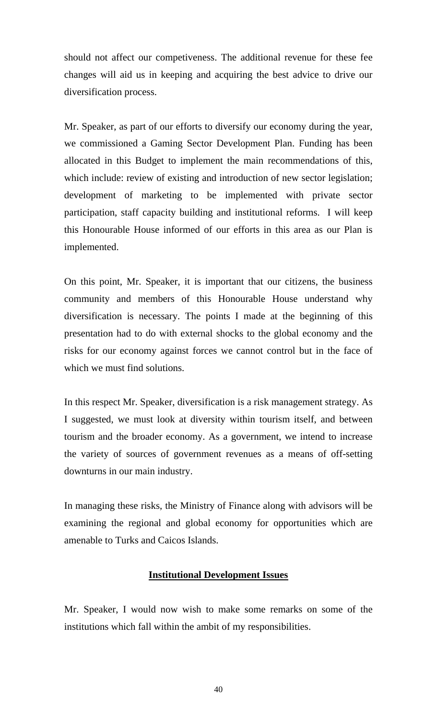should not affect our competiveness. The additional revenue for these fee changes will aid us in keeping and acquiring the best advice to drive our diversification process.

Mr. Speaker, as part of our efforts to diversify our economy during the year, we commissioned a Gaming Sector Development Plan. Funding has been allocated in this Budget to implement the main recommendations of this, which include: review of existing and introduction of new sector legislation; development of marketing to be implemented with private sector participation, staff capacity building and institutional reforms. I will keep this Honourable House informed of our efforts in this area as our Plan is implemented.

On this point, Mr. Speaker, it is important that our citizens, the business community and members of this Honourable House understand why diversification is necessary. The points I made at the beginning of this presentation had to do with external shocks to the global economy and the risks for our economy against forces we cannot control but in the face of which we must find solutions.

In this respect Mr. Speaker, diversification is a risk management strategy. As I suggested, we must look at diversity within tourism itself, and between tourism and the broader economy. As a government, we intend to increase the variety of sources of government revenues as a means of off-setting downturns in our main industry.

In managing these risks, the Ministry of Finance along with advisors will be examining the regional and global economy for opportunities which are amenable to Turks and Caicos Islands.

#### **Institutional Development Issues**

Mr. Speaker, I would now wish to make some remarks on some of the institutions which fall within the ambit of my responsibilities.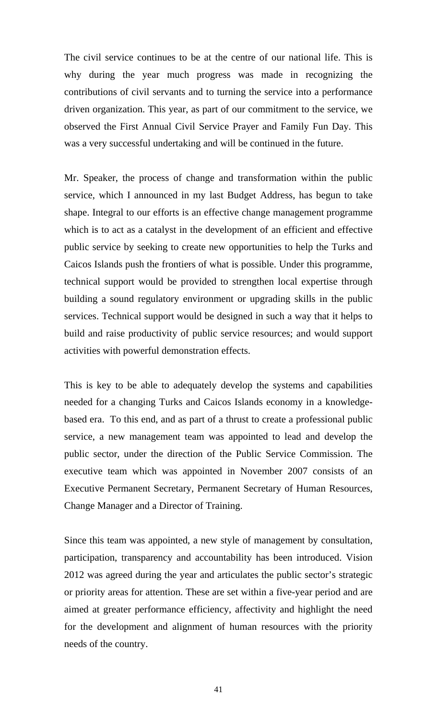The civil service continues to be at the centre of our national life. This is why during the year much progress was made in recognizing the contributions of civil servants and to turning the service into a performance driven organization. This year, as part of our commitment to the service, we observed the First Annual Civil Service Prayer and Family Fun Day. This was a very successful undertaking and will be continued in the future.

Mr. Speaker, the process of change and transformation within the public service, which I announced in my last Budget Address, has begun to take shape. Integral to our efforts is an effective change management programme which is to act as a catalyst in the development of an efficient and effective public service by seeking to create new opportunities to help the Turks and Caicos Islands push the frontiers of what is possible. Under this programme, technical support would be provided to strengthen local expertise through building a sound regulatory environment or upgrading skills in the public services. Technical support would be designed in such a way that it helps to build and raise productivity of public service resources; and would support activities with powerful demonstration effects.

This is key to be able to adequately develop the systems and capabilities needed for a changing Turks and Caicos Islands economy in a knowledgebased era. To this end, and as part of a thrust to create a professional public service, a new management team was appointed to lead and develop the public sector, under the direction of the Public Service Commission. The executive team which was appointed in November 2007 consists of an Executive Permanent Secretary, Permanent Secretary of Human Resources, Change Manager and a Director of Training.

Since this team was appointed, a new style of management by consultation, participation, transparency and accountability has been introduced. Vision 2012 was agreed during the year and articulates the public sector's strategic or priority areas for attention. These are set within a five-year period and are aimed at greater performance efficiency, affectivity and highlight the need for the development and alignment of human resources with the priority needs of the country.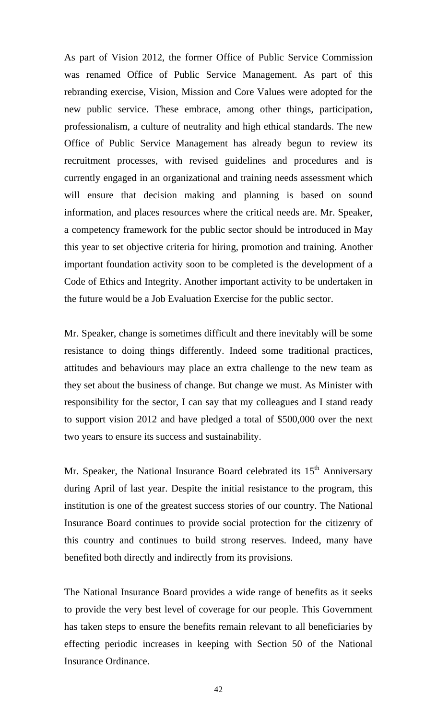As part of Vision 2012, the former Office of Public Service Commission was renamed Office of Public Service Management. As part of this rebranding exercise, Vision, Mission and Core Values were adopted for the new public service. These embrace, among other things, participation, professionalism, a culture of neutrality and high ethical standards. The new Office of Public Service Management has already begun to review its recruitment processes, with revised guidelines and procedures and is currently engaged in an organizational and training needs assessment which will ensure that decision making and planning is based on sound information, and places resources where the critical needs are. Mr. Speaker, a competency framework for the public sector should be introduced in May this year to set objective criteria for hiring, promotion and training. Another important foundation activity soon to be completed is the development of a Code of Ethics and Integrity. Another important activity to be undertaken in the future would be a Job Evaluation Exercise for the public sector.

Mr. Speaker, change is sometimes difficult and there inevitably will be some resistance to doing things differently. Indeed some traditional practices, attitudes and behaviours may place an extra challenge to the new team as they set about the business of change. But change we must. As Minister with responsibility for the sector, I can say that my colleagues and I stand ready to support vision 2012 and have pledged a total of \$500,000 over the next two years to ensure its success and sustainability.

Mr. Speaker, the National Insurance Board celebrated its  $15<sup>th</sup>$  Anniversary during April of last year. Despite the initial resistance to the program, this institution is one of the greatest success stories of our country. The National Insurance Board continues to provide social protection for the citizenry of this country and continues to build strong reserves. Indeed, many have benefited both directly and indirectly from its provisions.

The National Insurance Board provides a wide range of benefits as it seeks to provide the very best level of coverage for our people. This Government has taken steps to ensure the benefits remain relevant to all beneficiaries by effecting periodic increases in keeping with Section 50 of the National Insurance Ordinance.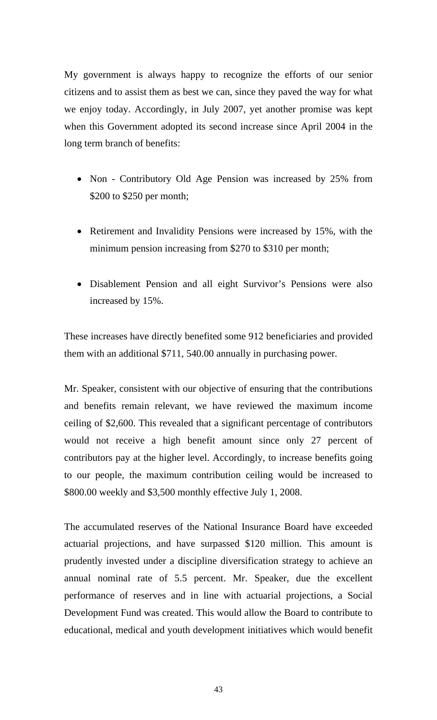My government is always happy to recognize the efforts of our senior citizens and to assist them as best we can, since they paved the way for what we enjoy today. Accordingly, in July 2007, yet another promise was kept when this Government adopted its second increase since April 2004 in the long term branch of benefits:

- Non Contributory Old Age Pension was increased by 25% from \$200 to \$250 per month;
- Retirement and Invalidity Pensions were increased by 15%, with the minimum pension increasing from \$270 to \$310 per month;
- Disablement Pension and all eight Survivor's Pensions were also increased by 15%.

These increases have directly benefited some 912 beneficiaries and provided them with an additional \$711, 540.00 annually in purchasing power.

Mr. Speaker, consistent with our objective of ensuring that the contributions and benefits remain relevant, we have reviewed the maximum income ceiling of \$2,600. This revealed that a significant percentage of contributors would not receive a high benefit amount since only 27 percent of contributors pay at the higher level. Accordingly, to increase benefits going to our people, the maximum contribution ceiling would be increased to \$800.00 weekly and \$3,500 monthly effective July 1, 2008.

The accumulated reserves of the National Insurance Board have exceeded actuarial projections, and have surpassed \$120 million. This amount is prudently invested under a discipline diversification strategy to achieve an annual nominal rate of 5.5 percent. Mr. Speaker, due the excellent performance of reserves and in line with actuarial projections, a Social Development Fund was created. This would allow the Board to contribute to educational, medical and youth development initiatives which would benefit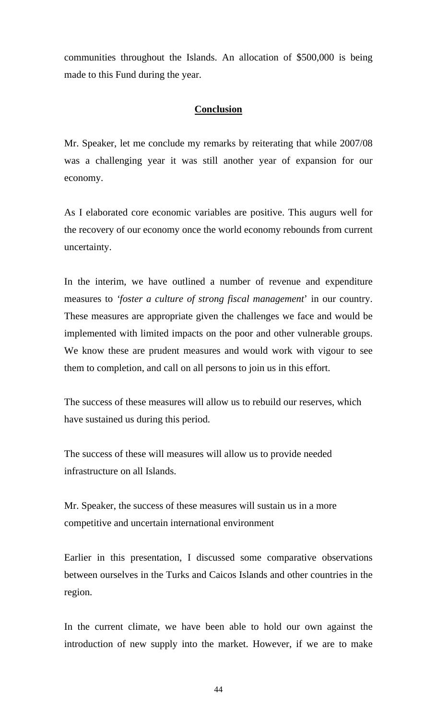communities throughout the Islands. An allocation of \$500,000 is being made to this Fund during the year.

#### **Conclusion**

Mr. Speaker, let me conclude my remarks by reiterating that while 2007/08 was a challenging year it was still another year of expansion for our economy.

As I elaborated core economic variables are positive. This augurs well for the recovery of our economy once the world economy rebounds from current uncertainty.

In the interim, we have outlined a number of revenue and expenditure measures to *'foster a culture of strong fiscal management*' in our country. These measures are appropriate given the challenges we face and would be implemented with limited impacts on the poor and other vulnerable groups. We know these are prudent measures and would work with vigour to see them to completion, and call on all persons to join us in this effort.

The success of these measures will allow us to rebuild our reserves, which have sustained us during this period.

The success of these will measures will allow us to provide needed infrastructure on all Islands.

Mr. Speaker, the success of these measures will sustain us in a more competitive and uncertain international environment

Earlier in this presentation, I discussed some comparative observations between ourselves in the Turks and Caicos Islands and other countries in the region.

In the current climate, we have been able to hold our own against the introduction of new supply into the market. However, if we are to make